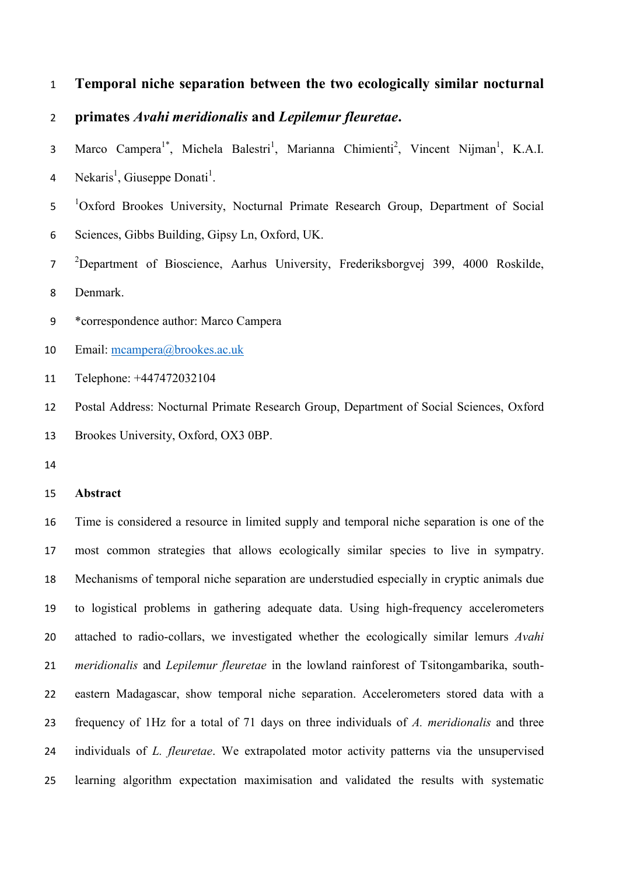# **Temporal niche separation between the two ecologically similar nocturnal**

# **primates** *Avahi meridionalis* **and** *Lepilemur fleuretae***.**

- 3 Marco Campera<sup>1\*</sup>, Michela Balestri<sup>1</sup>, Marianna Chimienti<sup>2</sup>, Vincent Nijman<sup>1</sup>, K.A.I. 4 Nekaris<sup>1</sup>, Giuseppe Donati<sup>1</sup>.
- 5 <sup>1</sup>Oxford Brookes University, Nocturnal Primate Research Group, Department of Social Sciences, Gibbs Building, Gipsy Ln, Oxford, UK.
- <sup>2</sup>Department of Bioscience, Aarhus University, Frederiksborgvej 399, 4000 Roskilde,
- Denmark.
- \*correspondence author: Marco Campera
- Email: [mcampera@brookes.ac.uk](mailto:mcampera@brookes.ac.uk)
- Telephone: +447472032104

 Postal Address: Nocturnal Primate Research Group, Department of Social Sciences, Oxford Brookes University, Oxford, OX3 0BP.

## **Abstract**

 Time is considered a resource in limited supply and temporal niche separation is one of the most common strategies that allows ecologically similar species to live in sympatry. Mechanisms of temporal niche separation are understudied especially in cryptic animals due to logistical problems in gathering adequate data. Using high-frequency accelerometers attached to radio-collars, we investigated whether the ecologically similar lemurs *Avahi meridionalis* and *Lepilemur fleuretae* in the lowland rainforest of Tsitongambarika, south- eastern Madagascar, show temporal niche separation. Accelerometers stored data with a frequency of 1Hz for a total of 71 days on three individuals of *A. meridionalis* and three individuals of *L. fleuretae*. We extrapolated motor activity patterns via the unsupervised learning algorithm expectation maximisation and validated the results with systematic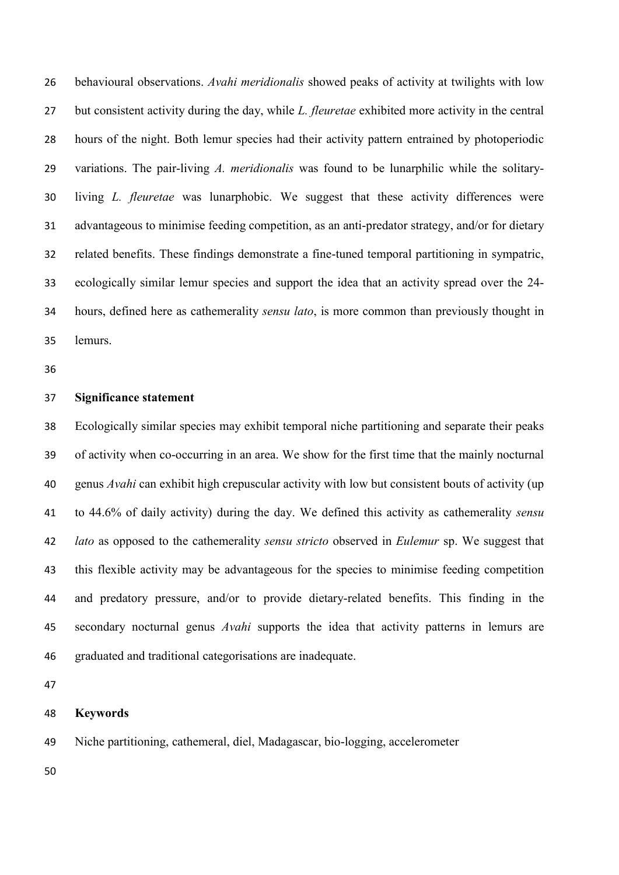behavioural observations. *Avahi meridionalis* showed peaks of activity at twilights with low but consistent activity during the day, while *L. fleuretae* exhibited more activity in the central hours of the night. Both lemur species had their activity pattern entrained by photoperiodic variations. The pair-living *A. meridionalis* was found to be lunarphilic while the solitary- living *L. fleuretae* was lunarphobic. We suggest that these activity differences were advantageous to minimise feeding competition, as an anti-predator strategy, and/or for dietary related benefits. These findings demonstrate a fine-tuned temporal partitioning in sympatric, ecologically similar lemur species and support the idea that an activity spread over the 24- hours, defined here as cathemerality *sensu lato*, is more common than previously thought in lemurs.

# **Significance statement**

 Ecologically similar species may exhibit temporal niche partitioning and separate their peaks of activity when co-occurring in an area. We show for the first time that the mainly nocturnal genus *Avahi* can exhibit high crepuscular activity with low but consistent bouts of activity (up to 44.6% of daily activity) during the day. We defined this activity as cathemerality *sensu lato* as opposed to the cathemerality *sensu stricto* observed in *Eulemur* sp. We suggest that this flexible activity may be advantageous for the species to minimise feeding competition and predatory pressure, and/or to provide dietary-related benefits. This finding in the secondary nocturnal genus *Avahi* supports the idea that activity patterns in lemurs are graduated and traditional categorisations are inadequate.

## **Keywords**

Niche partitioning, cathemeral, diel, Madagascar, bio-logging, accelerometer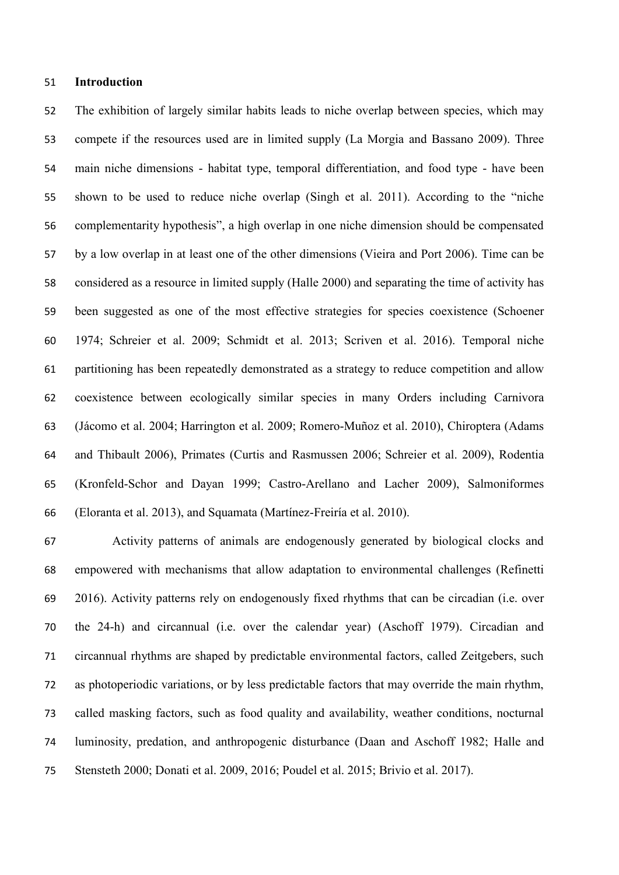#### **Introduction**

 The exhibition of largely similar habits leads to niche overlap between species, which may compete if the resources used are in limited supply (La Morgia and Bassano 2009). Three main niche dimensions - habitat type, temporal differentiation, and food type - have been shown to be used to reduce niche overlap (Singh et al. 2011). According to the "niche complementarity hypothesis", a high overlap in one niche dimension should be compensated by a low overlap in at least one of the other dimensions (Vieira and Port 2006). Time can be considered as a resource in limited supply (Halle 2000) and separating the time of activity has been suggested as one of the most effective strategies for species coexistence (Schoener 1974; Schreier et al. 2009; Schmidt et al. 2013; Scriven et al. 2016). Temporal niche partitioning has been repeatedly demonstrated as a strategy to reduce competition and allow coexistence between ecologically similar species in many Orders including Carnivora (Jácomo et al. 2004; Harrington et al. 2009; Romero-Muñoz et al. 2010), Chiroptera (Adams and Thibault 2006), Primates (Curtis and Rasmussen 2006; Schreier et al. 2009), Rodentia (Kronfeld-Schor and Dayan 1999; Castro-Arellano and Lacher 2009), Salmoniformes (Eloranta et al. 2013), and Squamata (Martínez-Freiría et al. 2010).

 Activity patterns of animals are endogenously generated by biological clocks and empowered with mechanisms that allow adaptation to environmental challenges (Refinetti 2016). Activity patterns rely on endogenously fixed rhythms that can be circadian (i.e. over the 24-h) and circannual (i.e. over the calendar year) (Aschoff 1979). Circadian and circannual rhythms are shaped by predictable environmental factors, called Zeitgebers, such as photoperiodic variations, or by less predictable factors that may override the main rhythm, called masking factors, such as food quality and availability, weather conditions, nocturnal luminosity, predation, and anthropogenic disturbance (Daan and Aschoff 1982; Halle and Stensteth 2000; Donati et al. 2009, 2016; Poudel et al. 2015; Brivio et al. 2017).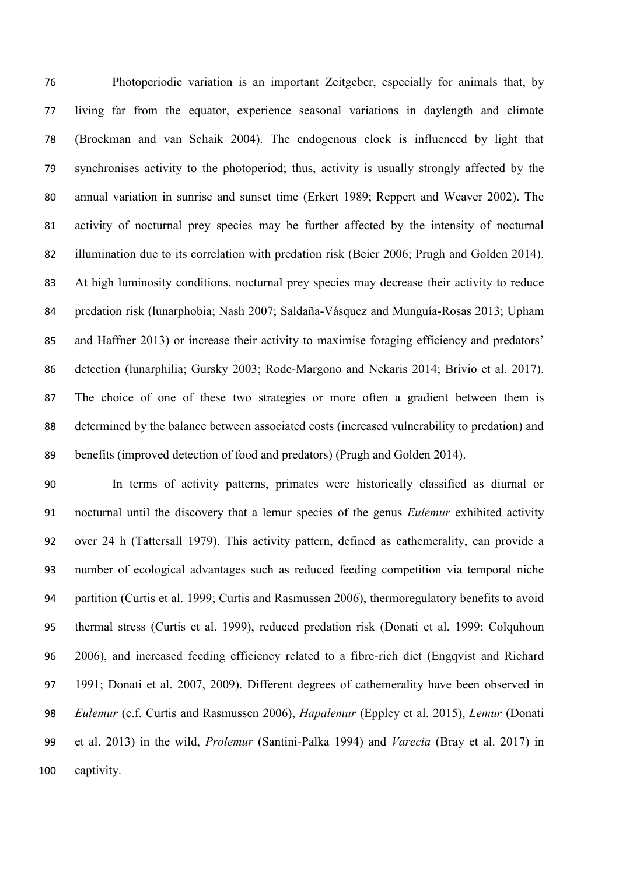Photoperiodic variation is an important Zeitgeber, especially for animals that, by living far from the equator, experience seasonal variations in daylength and climate (Brockman and van Schaik 2004). The endogenous clock is influenced by light that synchronises activity to the photoperiod; thus, activity is usually strongly affected by the annual variation in sunrise and sunset time (Erkert 1989; Reppert and Weaver 2002). The activity of nocturnal prey species may be further affected by the intensity of nocturnal illumination due to its correlation with predation risk (Beier 2006; Prugh and Golden 2014). At high luminosity conditions, nocturnal prey species may decrease their activity to reduce predation risk (lunarphobia; Nash 2007; Saldaña-Vásquez and Munguía-Rosas 2013; Upham and Haffner 2013) or increase their activity to maximise foraging efficiency and predators' detection (lunarphilia; Gursky 2003; Rode-Margono and Nekaris 2014; Brivio et al. 2017). The choice of one of these two strategies or more often a gradient between them is determined by the balance between associated costs (increased vulnerability to predation) and benefits (improved detection of food and predators) (Prugh and Golden 2014).

 In terms of activity patterns, primates were historically classified as diurnal or nocturnal until the discovery that a lemur species of the genus *Eulemur* exhibited activity over 24 h (Tattersall 1979). This activity pattern, defined as cathemerality, can provide a number of ecological advantages such as reduced feeding competition via temporal niche partition (Curtis et al. 1999; Curtis and Rasmussen 2006), thermoregulatory benefits to avoid thermal stress (Curtis et al. 1999), reduced predation risk (Donati et al. 1999; Colquhoun 2006), and increased feeding efficiency related to a fibre-rich diet (Engqvist and Richard 1991; Donati et al. 2007, 2009). Different degrees of cathemerality have been observed in *Eulemur* (c.f. Curtis and Rasmussen 2006), *Hapalemur* (Eppley et al. 2015), *Lemur* (Donati et al. 2013) in the wild, *Prolemur* (Santini-Palka 1994) and *Varecia* (Bray et al. 2017) in captivity.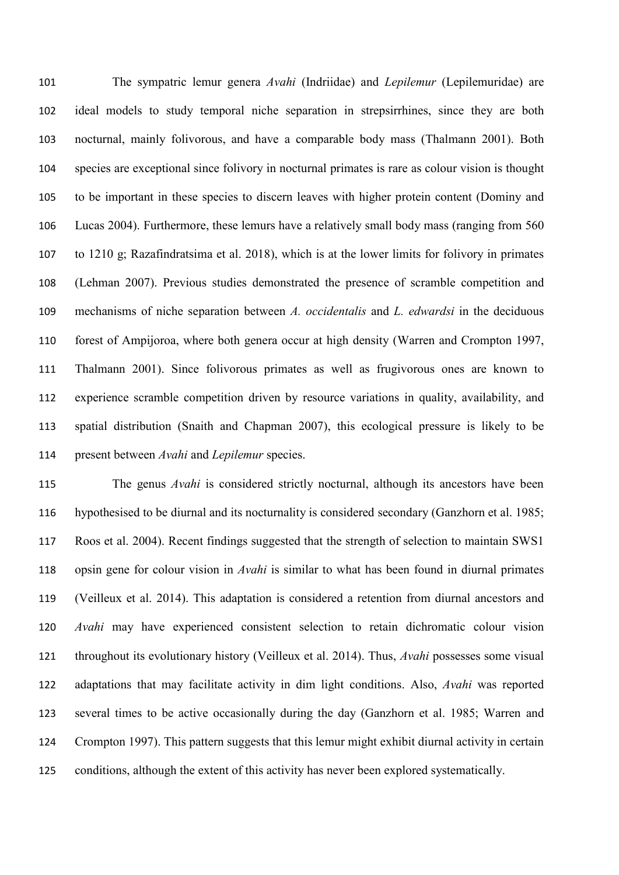The sympatric lemur genera *Avahi* (Indriidae) and *Lepilemur* (Lepilemuridae) are ideal models to study temporal niche separation in strepsirrhines, since they are both nocturnal, mainly folivorous, and have a comparable body mass (Thalmann 2001). Both species are exceptional since folivory in nocturnal primates is rare as colour vision is thought to be important in these species to discern leaves with higher protein content (Dominy and Lucas 2004). Furthermore, these lemurs have a relatively small body mass (ranging from 560 to 1210 g; Razafindratsima et al. 2018), which is at the lower limits for folivory in primates (Lehman 2007). Previous studies demonstrated the presence of scramble competition and mechanisms of niche separation between *A. occidentalis* and *L. edwardsi* in the deciduous forest of Ampijoroa, where both genera occur at high density (Warren and Crompton 1997, Thalmann 2001). Since folivorous primates as well as frugivorous ones are known to experience scramble competition driven by resource variations in quality, availability, and spatial distribution (Snaith and Chapman 2007), this ecological pressure is likely to be present between *Avahi* and *Lepilemur* species.

 The genus *Avahi* is considered strictly nocturnal, although its ancestors have been hypothesised to be diurnal and its nocturnality is considered secondary (Ganzhorn et al. 1985; Roos et al. 2004). Recent findings suggested that the strength of selection to maintain SWS1 opsin gene for colour vision in *Avahi* is similar to what has been found in diurnal primates (Veilleux et al. 2014). This adaptation is considered a retention from diurnal ancestors and *Avahi* may have experienced consistent selection to retain dichromatic colour vision throughout its evolutionary history (Veilleux et al. 2014). Thus, *Avahi* possesses some visual adaptations that may facilitate activity in dim light conditions. Also, *Avahi* was reported several times to be active occasionally during the day (Ganzhorn et al. 1985; Warren and Crompton 1997). This pattern suggests that this lemur might exhibit diurnal activity in certain conditions, although the extent of this activity has never been explored systematically.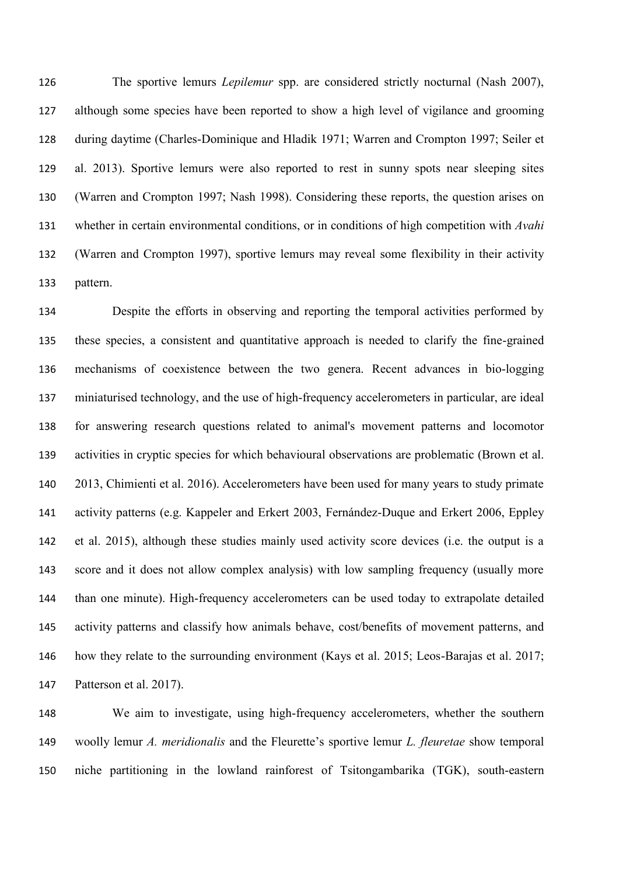The sportive lemurs *Lepilemur* spp. are considered strictly nocturnal (Nash 2007), although some species have been reported to show a high level of vigilance and grooming during daytime (Charles-Dominique and Hladik 1971; Warren and Crompton 1997; Seiler et al. 2013). Sportive lemurs were also reported to rest in sunny spots near sleeping sites (Warren and Crompton 1997; Nash 1998). Considering these reports, the question arises on whether in certain environmental conditions, or in conditions of high competition with *Avahi* (Warren and Crompton 1997), sportive lemurs may reveal some flexibility in their activity pattern.

 Despite the efforts in observing and reporting the temporal activities performed by these species, a consistent and quantitative approach is needed to clarify the fine-grained mechanisms of coexistence between the two genera. Recent advances in bio-logging miniaturised technology, and the use of high-frequency accelerometers in particular, are ideal for answering research questions related to animal's movement patterns and locomotor activities in cryptic species for which behavioural observations are problematic (Brown et al. 2013, Chimienti et al. 2016). Accelerometers have been used for many years to study primate activity patterns (e.g. Kappeler and Erkert 2003, Fernández-Duque and Erkert 2006, Eppley et al. 2015), although these studies mainly used activity score devices (i.e. the output is a score and it does not allow complex analysis) with low sampling frequency (usually more than one minute). High-frequency accelerometers can be used today to extrapolate detailed activity patterns and classify how animals behave, cost/benefits of movement patterns, and how they relate to the surrounding environment (Kays et al. 2015; Leos-Barajas et al. 2017; Patterson et al. 2017).

 We aim to investigate, using high-frequency accelerometers, whether the southern woolly lemur *A. meridionalis* and the Fleurette's sportive lemur *L. fleuretae* show temporal niche partitioning in the lowland rainforest of Tsitongambarika (TGK), south-eastern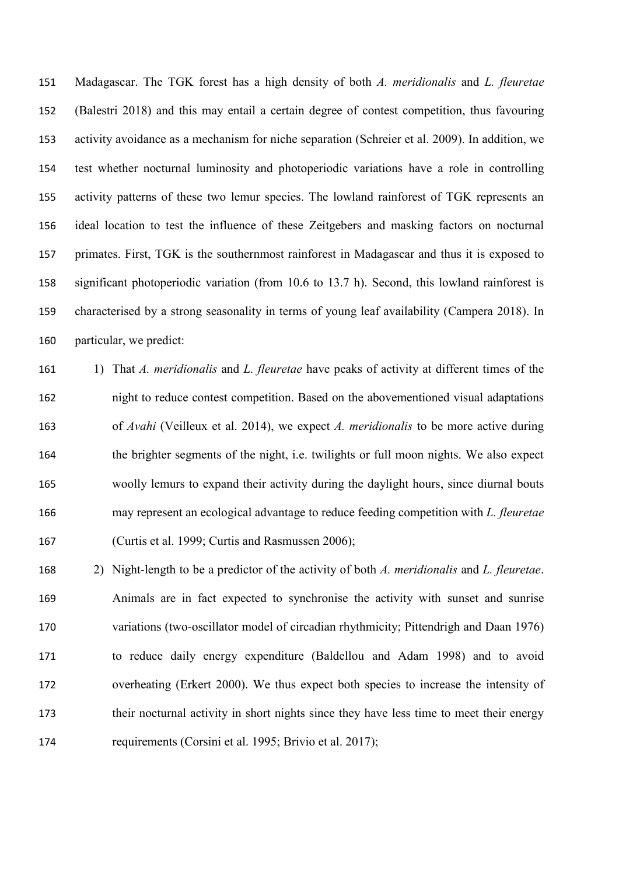Madagascar. The TGK forest has a high density of both *A. meridionalis* and *L. fleuretae*  (Balestri 2018) and this may entail a certain degree of contest competition, thus favouring activity avoidance as a mechanism for niche separation (Schreier et al. 2009). In addition, we test whether nocturnal luminosity and photoperiodic variations have a role in controlling activity patterns of these two lemur species. The lowland rainforest of TGK represents an ideal location to test the influence of these Zeitgebers and masking factors on nocturnal primates. First, TGK is the southernmost rainforest in Madagascar and thus it is exposed to significant photoperiodic variation (from 10.6 to 13.7 h). Second, this lowland rainforest is characterised by a strong seasonality in terms of young leaf availability (Campera 2018). In particular, we predict:

 1) That *A. meridionalis* and *L. fleuretae* have peaks of activity at different times of the night to reduce contest competition. Based on the abovementioned visual adaptations of *Avahi* (Veilleux et al. 2014), we expect *A. meridionalis* to be more active during the brighter segments of the night, i.e. twilights or full moon nights. We also expect woolly lemurs to expand their activity during the daylight hours, since diurnal bouts may represent an ecological advantage to reduce feeding competition with *L. fleuretae* (Curtis et al. 1999; Curtis and Rasmussen 2006);

 2) Night-length to be a predictor of the activity of both *A. meridionalis* and *L. fleuretae*. Animals are in fact expected to synchronise the activity with sunset and sunrise variations (two-oscillator model of circadian rhythmicity; Pittendrigh and Daan 1976) to reduce daily energy expenditure (Baldellou and Adam 1998) and to avoid overheating (Erkert 2000). We thus expect both species to increase the intensity of 173 their nocturnal activity in short nights since they have less time to meet their energy requirements (Corsini et al. 1995; Brivio et al. 2017);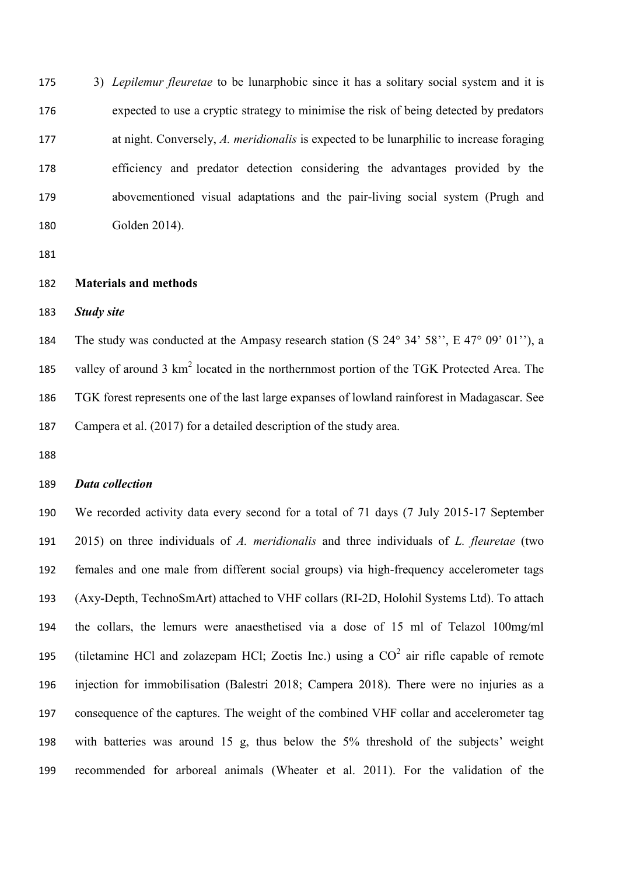3) *Lepilemur fleuretae* to be lunarphobic since it has a solitary social system and it is expected to use a cryptic strategy to minimise the risk of being detected by predators at night. Conversely, *A. meridionalis* is expected to be lunarphilic to increase foraging efficiency and predator detection considering the advantages provided by the abovementioned visual adaptations and the pair-living social system (Prugh and Golden 2014).

## **Materials and methods**

*Study site* 

 The study was conducted at the Ampasy research station (S 24° 34' 58'', E 47° 09' 01''), a 185 valley of around  $3 \text{ km}^2$  located in the northernmost portion of the TGK Protected Area. The TGK forest represents one of the last large expanses of lowland rainforest in Madagascar. See Campera et al. (2017) for a detailed description of the study area.

#### *Data collection*

 We recorded activity data every second for a total of 71 days (7 July 2015-17 September 2015) on three individuals of *A. meridionalis* and three individuals of *L. fleuretae* (two females and one male from different social groups) via high-frequency accelerometer tags (Axy-Depth, TechnoSmArt) attached to VHF collars (RI-2D, Holohil Systems Ltd). To attach the collars, the lemurs were anaesthetised via a dose of 15 ml of Telazol 100mg/ml 195 (tiletamine HCl and zolazepam HCl; Zoetis Inc.) using a  $CO<sup>2</sup>$  air rifle capable of remote injection for immobilisation (Balestri 2018; Campera 2018). There were no injuries as a consequence of the captures. The weight of the combined VHF collar and accelerometer tag with batteries was around 15 g, thus below the 5% threshold of the subjects' weight recommended for arboreal animals (Wheater et al. 2011). For the validation of the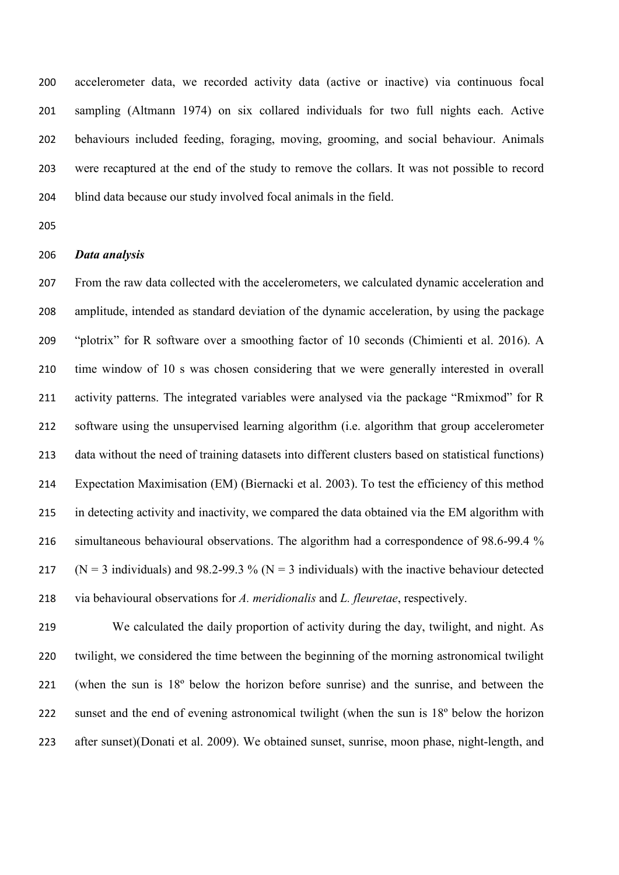accelerometer data, we recorded activity data (active or inactive) via continuous focal sampling (Altmann 1974) on six collared individuals for two full nights each. Active behaviours included feeding, foraging, moving, grooming, and social behaviour. Animals were recaptured at the end of the study to remove the collars. It was not possible to record blind data because our study involved focal animals in the field.

### *Data analysis*

 From the raw data collected with the accelerometers, we calculated dynamic acceleration and amplitude, intended as standard deviation of the dynamic acceleration, by using the package "plotrix" for R software over a smoothing factor of 10 seconds (Chimienti et al. 2016). A time window of 10 s was chosen considering that we were generally interested in overall 211 activity patterns. The integrated variables were analysed via the package "Rmixmod" for R software using the unsupervised learning algorithm (i.e. algorithm that group accelerometer data without the need of training datasets into different clusters based on statistical functions) Expectation Maximisation (EM) (Biernacki et al. 2003). To test the efficiency of this method in detecting activity and inactivity, we compared the data obtained via the EM algorithm with 216 simultaneous behavioural observations. The algorithm had a correspondence of 98.6-99.4 % 217 ( $N = 3$  individuals) and 98.2-99.3 % ( $N = 3$  individuals) with the inactive behaviour detected via behavioural observations for *A. meridionalis* and *L. fleuretae*, respectively.

 We calculated the daily proportion of activity during the day, twilight, and night. As twilight, we considered the time between the beginning of the morning astronomical twilight (when the sun is 18º below the horizon before sunrise) and the sunrise, and between the 222 sunset and the end of evening astronomical twilight (when the sun is 18<sup>°</sup> below the horizon after sunset)(Donati et al. 2009). We obtained sunset, sunrise, moon phase, night-length, and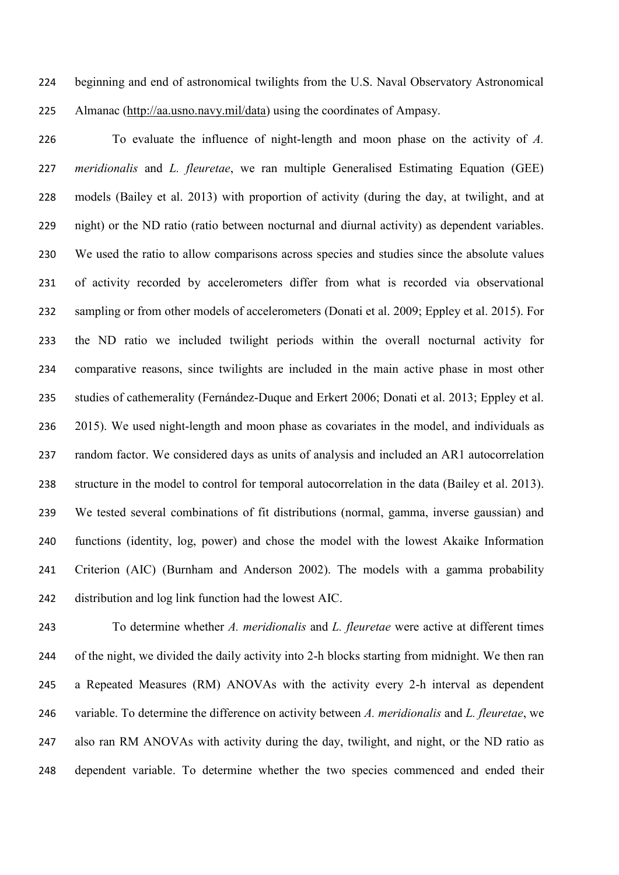beginning and end of astronomical twilights from the U.S. Naval Observatory Astronomical Almanac [\(http://aa.usno.navy.mil/data\)](http://aa.usno.navy.mil/data) using the coordinates of Ampasy.

 To evaluate the influence of night-length and moon phase on the activity of *A. meridionalis* and *L. fleuretae*, we ran multiple Generalised Estimating Equation (GEE) models (Bailey et al. 2013) with proportion of activity (during the day, at twilight, and at night) or the ND ratio (ratio between nocturnal and diurnal activity) as dependent variables. We used the ratio to allow comparisons across species and studies since the absolute values of activity recorded by accelerometers differ from what is recorded via observational sampling or from other models of accelerometers (Donati et al. 2009; Eppley et al. 2015). For the ND ratio we included twilight periods within the overall nocturnal activity for comparative reasons, since twilights are included in the main active phase in most other studies of cathemerality (Fernández-Duque and Erkert 2006; Donati et al. 2013; Eppley et al. 2015). We used night-length and moon phase as covariates in the model, and individuals as random factor. We considered days as units of analysis and included an AR1 autocorrelation structure in the model to control for temporal autocorrelation in the data (Bailey et al. 2013). We tested several combinations of fit distributions (normal, gamma, inverse gaussian) and functions (identity, log, power) and chose the model with the lowest Akaike Information Criterion (AIC) (Burnham and Anderson 2002). The models with a gamma probability distribution and log link function had the lowest AIC.

 To determine whether *A. meridionalis* and *L. fleuretae* were active at different times 244 of the night, we divided the daily activity into 2-h blocks starting from midnight. We then ran a Repeated Measures (RM) ANOVAs with the activity every 2-h interval as dependent variable. To determine the difference on activity between *A. meridionalis* and *L. fleuretae*, we also ran RM ANOVAs with activity during the day, twilight, and night, or the ND ratio as dependent variable. To determine whether the two species commenced and ended their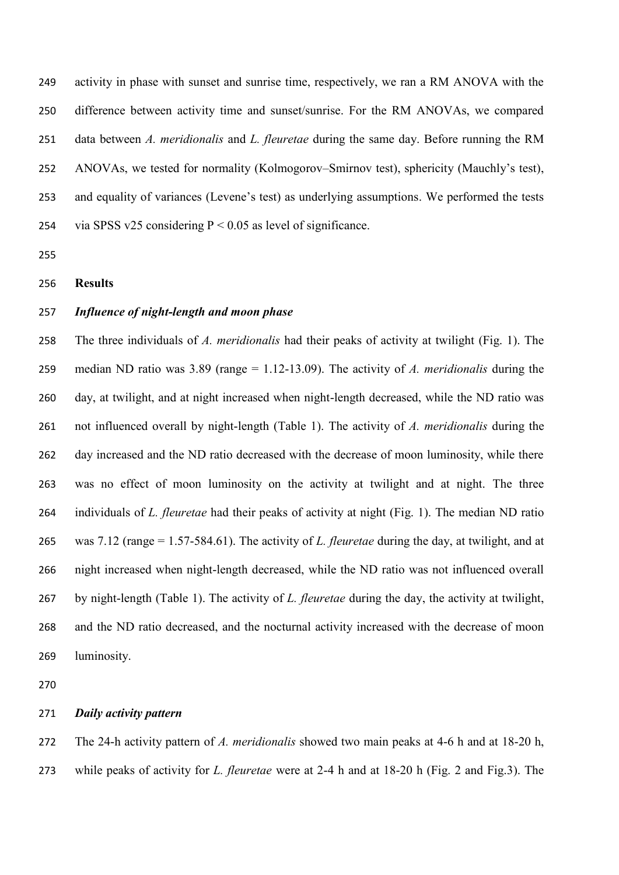activity in phase with sunset and sunrise time, respectively, we ran a RM ANOVA with the difference between activity time and sunset/sunrise. For the RM ANOVAs, we compared data between *A. meridionalis* and *L. fleuretae* during the same day. Before running the RM ANOVAs, we tested for normality (Kolmogorov–Smirnov test), sphericity (Mauchly's test), and equality of variances (Levene's test) as underlying assumptions. We performed the tests 254 via SPSS v25 considering  $P < 0.05$  as level of significance.

### **Results**

## *Influence of night-length and moon phase*

 The three individuals of *A. meridionalis* had their peaks of activity at twilight (Fig. 1). The median ND ratio was 3.89 (range = 1.12-13.09). The activity of *A. meridionalis* during the day, at twilight, and at night increased when night-length decreased, while the ND ratio was not influenced overall by night-length (Table 1). The activity of *A. meridionalis* during the day increased and the ND ratio decreased with the decrease of moon luminosity, while there was no effect of moon luminosity on the activity at twilight and at night. The three individuals of *L. fleuretae* had their peaks of activity at night (Fig. 1). The median ND ratio was 7.12 (range = 1.57-584.61). The activity of *L. fleuretae* during the day, at twilight, and at night increased when night-length decreased, while the ND ratio was not influenced overall by night-length (Table 1). The activity of *L. fleuretae* during the day, the activity at twilight, and the ND ratio decreased, and the nocturnal activity increased with the decrease of moon luminosity.

# *Daily activity pattern*

The 24-h activity pattern of *A. meridionalis* showed two main peaks at 4-6 h and at 18-20 h,

while peaks of activity for *L. fleuretae* were at 2-4 h and at 18-20 h (Fig. 2 and Fig.3). The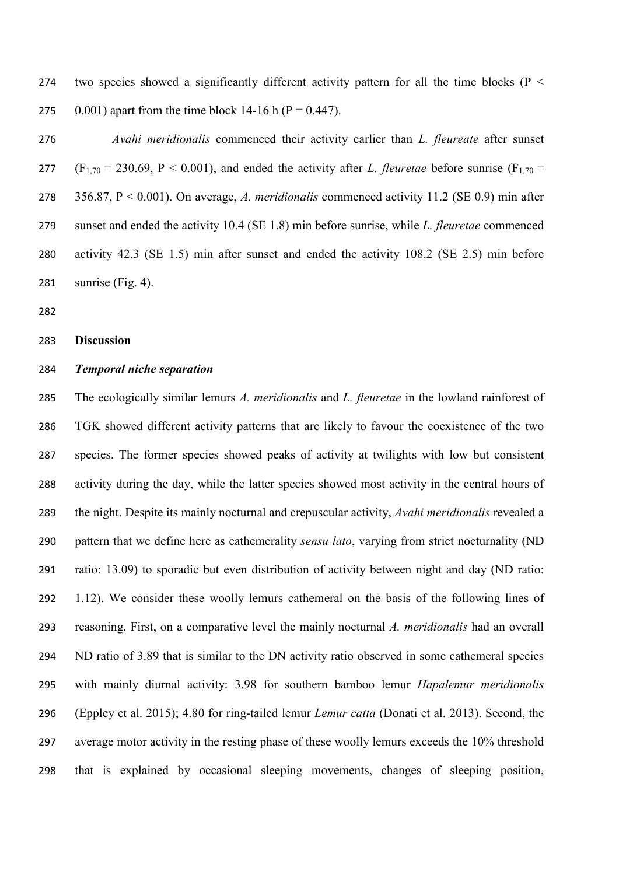274 two species showed a significantly different activity pattern for all the time blocks ( $P <$ 275 0.001) apart from the time block 14-16 h ( $P = 0.447$ ).

 *Avahi meridionalis* commenced their activity earlier than *L. fleureate* after sunset 277 (F<sub>1,70</sub> = 230.69, P < 0.001), and ended the activity after *L. fleuretae* before sunrise (F<sub>1,70</sub> = 356.87, P < 0.001). On average, *A. meridionalis* commenced activity 11.2 (SE 0.9) min after sunset and ended the activity 10.4 (SE 1.8) min before sunrise, while *L. fleuretae* commenced activity 42.3 (SE 1.5) min after sunset and ended the activity 108.2 (SE 2.5) min before sunrise (Fig. 4).

#### **Discussion**

## *Temporal niche separation*

 The ecologically similar lemurs *A. meridionalis* and *L. fleuretae* in the lowland rainforest of TGK showed different activity patterns that are likely to favour the coexistence of the two species. The former species showed peaks of activity at twilights with low but consistent activity during the day, while the latter species showed most activity in the central hours of the night. Despite its mainly nocturnal and crepuscular activity, *Avahi meridionalis* revealed a pattern that we define here as cathemerality *sensu lato*, varying from strict nocturnality (ND ratio: 13.09) to sporadic but even distribution of activity between night and day (ND ratio: 1.12). We consider these woolly lemurs cathemeral on the basis of the following lines of reasoning. First, on a comparative level the mainly nocturnal *A. meridionalis* had an overall ND ratio of 3.89 that is similar to the DN activity ratio observed in some cathemeral species with mainly diurnal activity: 3.98 for southern bamboo lemur *Hapalemur meridionalis* (Eppley et al. 2015); 4.80 for ring-tailed lemur *Lemur catta* (Donati et al. 2013). Second, the average motor activity in the resting phase of these woolly lemurs exceeds the 10% threshold that is explained by occasional sleeping movements, changes of sleeping position,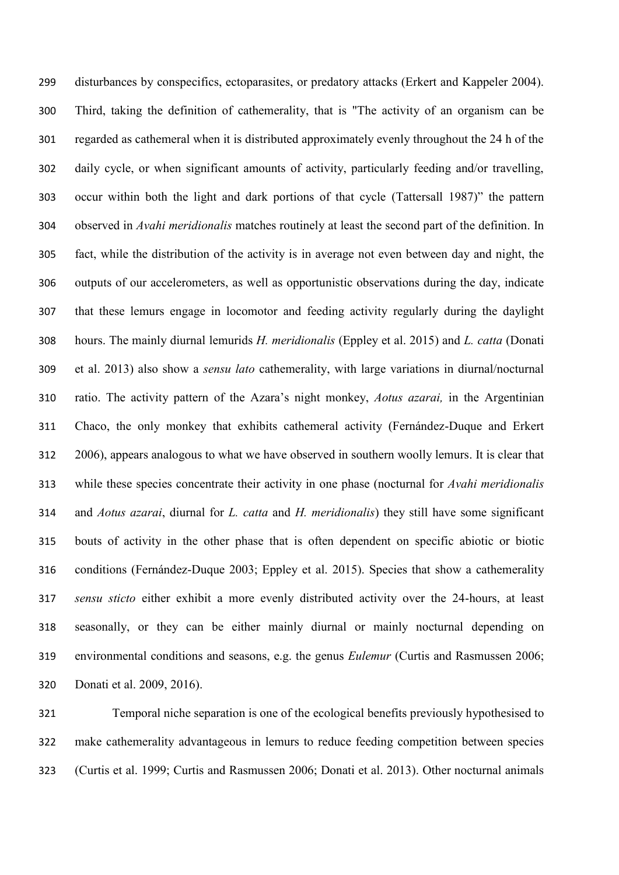disturbances by conspecifics, ectoparasites, or predatory attacks (Erkert and Kappeler 2004). Third, taking the definition of cathemerality, that is "The activity of an organism can be regarded as cathemeral when it is distributed approximately evenly throughout the 24 h of the daily cycle, or when significant amounts of activity, particularly feeding and/or travelling, occur within both the light and dark portions of that cycle (Tattersall 1987)" the pattern observed in *Avahi meridionalis* matches routinely at least the second part of the definition. In fact, while the distribution of the activity is in average not even between day and night, the outputs of our accelerometers, as well as opportunistic observations during the day, indicate that these lemurs engage in locomotor and feeding activity regularly during the daylight hours. The mainly diurnal lemurids *H. meridionalis* (Eppley et al. 2015) and *L. catta* (Donati et al. 2013) also show a *sensu lato* cathemerality, with large variations in diurnal/nocturnal ratio. The activity pattern of the Azara's night monkey, *Aotus azarai,* in the Argentinian Chaco, the only monkey that exhibits cathemeral activity (Fernández-Duque and Erkert 2006), appears analogous to what we have observed in southern woolly lemurs. It is clear that while these species concentrate their activity in one phase (nocturnal for *Avahi meridionalis* and *Aotus azarai*, diurnal for *L. catta* and *H. meridionalis*) they still have some significant bouts of activity in the other phase that is often dependent on specific abiotic or biotic conditions (Fernández-Duque 2003; Eppley et al. 2015). Species that show a cathemerality *sensu sticto* either exhibit a more evenly distributed activity over the 24-hours, at least seasonally, or they can be either mainly diurnal or mainly nocturnal depending on environmental conditions and seasons, e.g. the genus *Eulemur* (Curtis and Rasmussen 2006; Donati et al. 2009, 2016).

 Temporal niche separation is one of the ecological benefits previously hypothesised to make cathemerality advantageous in lemurs to reduce feeding competition between species (Curtis et al. 1999; Curtis and Rasmussen 2006; Donati et al. 2013). Other nocturnal animals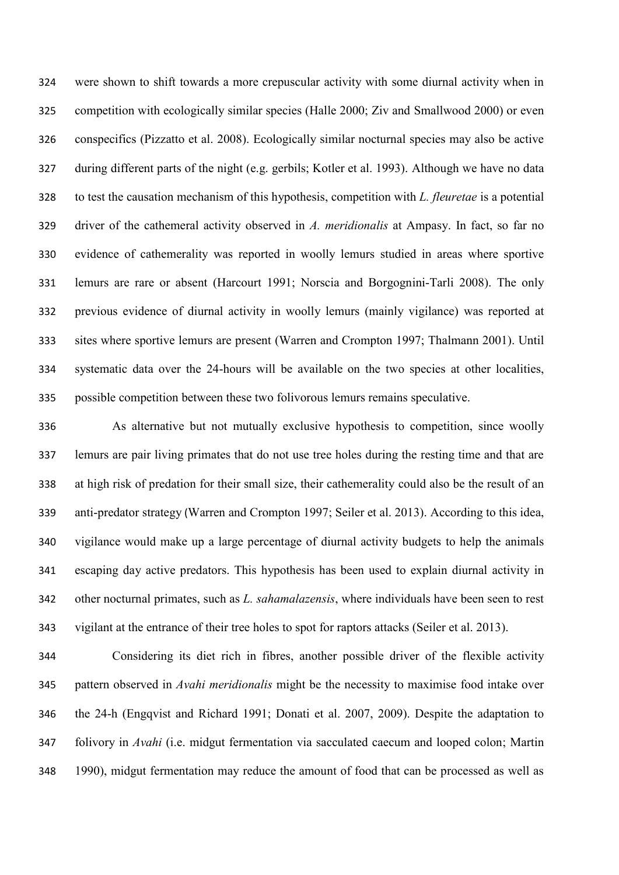were shown to shift towards a more crepuscular activity with some diurnal activity when in competition with ecologically similar species (Halle 2000; Ziv and Smallwood 2000) or even conspecifics (Pizzatto et al. 2008). Ecologically similar nocturnal species may also be active during different parts of the night (e.g. gerbils; Kotler et al. 1993). Although we have no data to test the causation mechanism of this hypothesis, competition with *L. fleuretae* is a potential driver of the cathemeral activity observed in *A. meridionalis* at Ampasy. In fact, so far no evidence of cathemerality was reported in woolly lemurs studied in areas where sportive lemurs are rare or absent (Harcourt 1991; Norscia and Borgognini-Tarli 2008). The only previous evidence of diurnal activity in woolly lemurs (mainly vigilance) was reported at sites where sportive lemurs are present (Warren and Crompton 1997; Thalmann 2001). Until systematic data over the 24-hours will be available on the two species at other localities, possible competition between these two folivorous lemurs remains speculative.

 As alternative but not mutually exclusive hypothesis to competition, since woolly lemurs are pair living primates that do not use tree holes during the resting time and that are at high risk of predation for their small size, their cathemerality could also be the result of an anti-predator strategy (Warren and Crompton 1997; Seiler et al. 2013). According to this idea, vigilance would make up a large percentage of diurnal activity budgets to help the animals escaping day active predators. This hypothesis has been used to explain diurnal activity in other nocturnal primates, such as *L. sahamalazensis*, where individuals have been seen to rest vigilant at the entrance of their tree holes to spot for raptors attacks (Seiler et al. 2013).

 Considering its diet rich in fibres, another possible driver of the flexible activity pattern observed in *Avahi meridionalis* might be the necessity to maximise food intake over the 24-h (Engqvist and Richard 1991; Donati et al. 2007, 2009). Despite the adaptation to folivory in *Avahi* (i.e. midgut fermentation via sacculated caecum and looped colon; Martin 1990), midgut fermentation may reduce the amount of food that can be processed as well as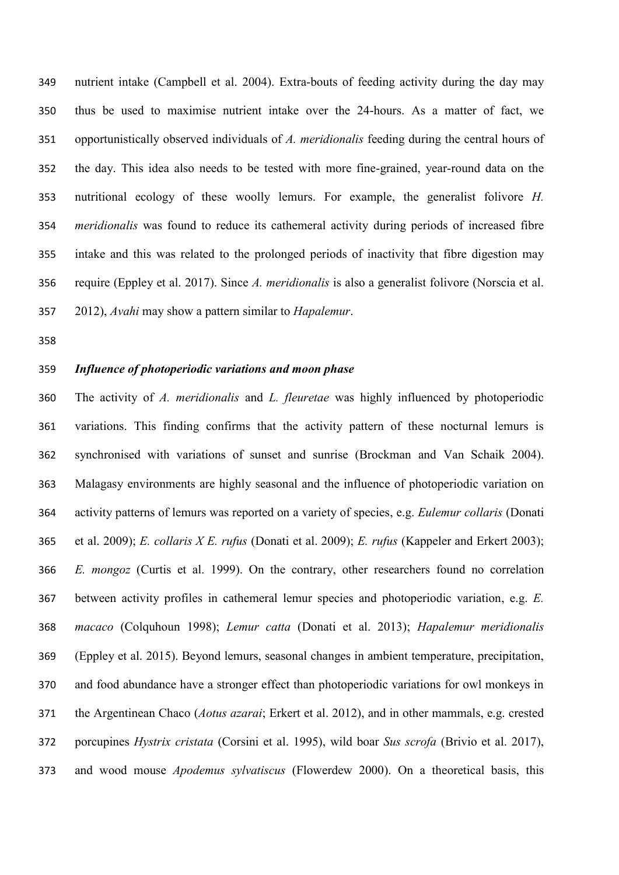nutrient intake (Campbell et al. 2004). Extra-bouts of feeding activity during the day may thus be used to maximise nutrient intake over the 24-hours. As a matter of fact, we opportunistically observed individuals of *A. meridionalis* feeding during the central hours of the day. This idea also needs to be tested with more fine-grained, year-round data on the nutritional ecology of these woolly lemurs. For example, the generalist folivore *H. meridionalis* was found to reduce its cathemeral activity during periods of increased fibre intake and this was related to the prolonged periods of inactivity that fibre digestion may require (Eppley et al. 2017). Since *A. meridionalis* is also a generalist folivore (Norscia et al. 2012), *Avahi* may show a pattern similar to *Hapalemur*.

# *Influence of photoperiodic variations and moon phase*

 The activity of *A. meridionalis* and *L. fleuretae* was highly influenced by photoperiodic variations. This finding confirms that the activity pattern of these nocturnal lemurs is synchronised with variations of sunset and sunrise (Brockman and Van Schaik 2004). Malagasy environments are highly seasonal and the influence of photoperiodic variation on activity patterns of lemurs was reported on a variety of species, e.g. *Eulemur collaris* (Donati et al. 2009); *E. collaris X E. rufus* (Donati et al. 2009); *E. rufus* (Kappeler and Erkert 2003); *E. mongoz* (Curtis et al. 1999). On the contrary, other researchers found no correlation between activity profiles in cathemeral lemur species and photoperiodic variation, e.g. *E. macaco* (Colquhoun 1998); *Lemur catta* (Donati et al. 2013); *Hapalemur meridionalis* (Eppley et al. 2015). Beyond lemurs, seasonal changes in ambient temperature, precipitation, and food abundance have a stronger effect than photoperiodic variations for owl monkeys in the Argentinean Chaco (*Aotus azarai*; Erkert et al. 2012), and in other mammals, e.g. crested porcupines *Hystrix cristata* (Corsini et al. 1995), wild boar *Sus scrofa* (Brivio et al. 2017), and wood mouse *Apodemus sylvatiscus* (Flowerdew 2000). On a theoretical basis, this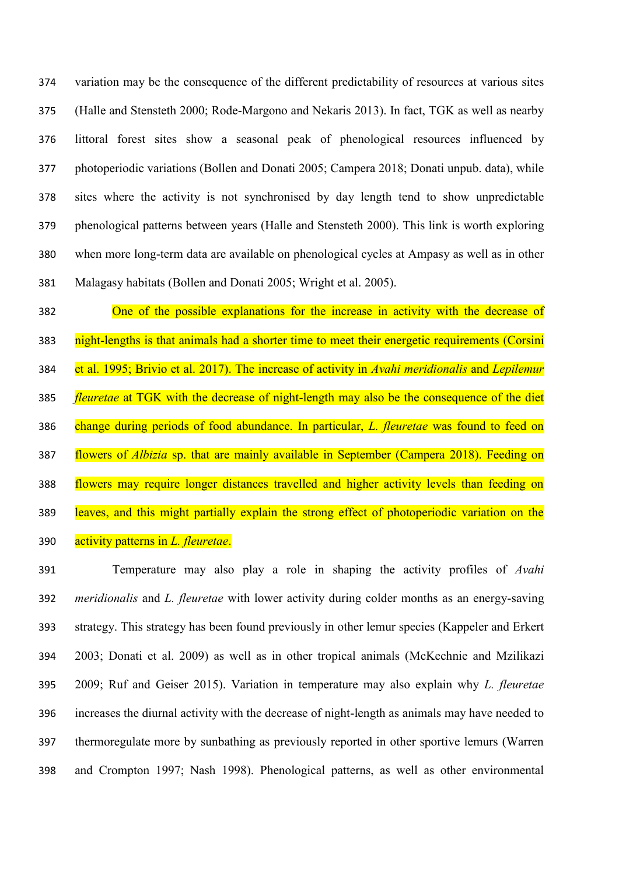variation may be the consequence of the different predictability of resources at various sites (Halle and Stensteth 2000; Rode-Margono and Nekaris 2013). In fact, TGK as well as nearby littoral forest sites show a seasonal peak of phenological resources influenced by photoperiodic variations (Bollen and Donati 2005; Campera 2018; Donati unpub. data), while sites where the activity is not synchronised by day length tend to show unpredictable phenological patterns between years (Halle and Stensteth 2000). This link is worth exploring when more long-term data are available on phenological cycles at Ampasy as well as in other Malagasy habitats (Bollen and Donati 2005; Wright et al. 2005).

 One of the possible explanations for the increase in activity with the decrease of 383 night-lengths is that animals had a shorter time to meet their energetic requirements (Corsini et al. 1995; Brivio et al. 2017). The increase of activity in *Avahi meridionalis* and *Lepilemur fleuretae* at TGK with the decrease of night-length may also be the consequence of the diet change during periods of food abundance. In particular, *L. fleuretae* was found to feed on flowers of *Albizia* sp. that are mainly available in September (Campera 2018). Feeding on flowers may require longer distances travelled and higher activity levels than feeding on leaves, and this might partially explain the strong effect of photoperiodic variation on the activity patterns in *L. fleuretae*.

 Temperature may also play a role in shaping the activity profiles of *Avahi meridionalis* and *L. fleuretae* with lower activity during colder months as an energy-saving strategy. This strategy has been found previously in other lemur species (Kappeler and Erkert 2003; Donati et al. 2009) as well as in other tropical animals (McKechnie and Mzilikazi 2009; Ruf and Geiser 2015). Variation in temperature may also explain why *L. fleuretae* increases the diurnal activity with the decrease of night-length as animals may have needed to thermoregulate more by sunbathing as previously reported in other sportive lemurs (Warren and Crompton 1997; Nash 1998). Phenological patterns, as well as other environmental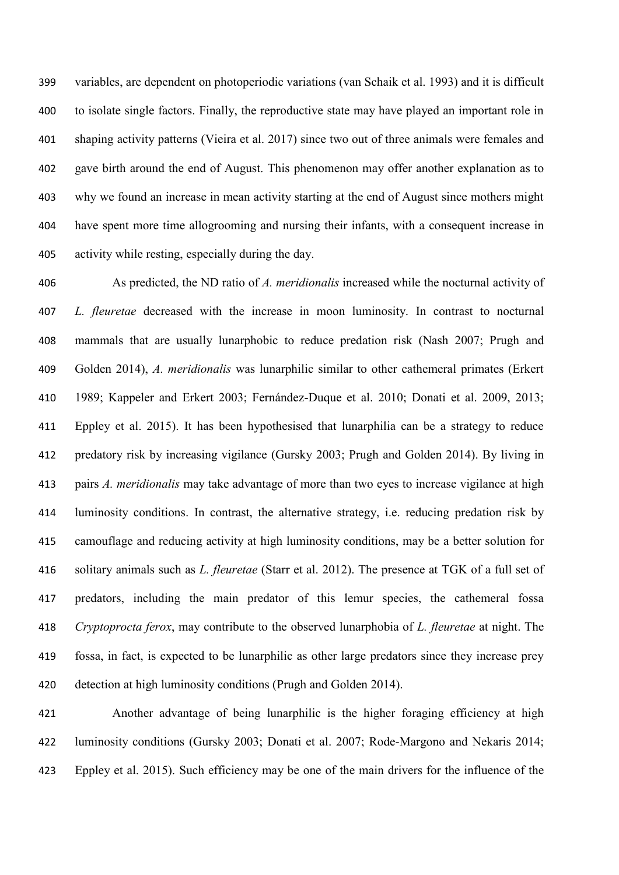variables, are dependent on photoperiodic variations (van Schaik et al. 1993) and it is difficult to isolate single factors. Finally, the reproductive state may have played an important role in shaping activity patterns (Vieira et al. 2017) since two out of three animals were females and gave birth around the end of August. This phenomenon may offer another explanation as to why we found an increase in mean activity starting at the end of August since mothers might have spent more time allogrooming and nursing their infants, with a consequent increase in activity while resting, especially during the day.

 As predicted, the ND ratio of *A. meridionalis* increased while the nocturnal activity of *L. fleuretae* decreased with the increase in moon luminosity. In contrast to nocturnal mammals that are usually lunarphobic to reduce predation risk (Nash 2007; Prugh and Golden 2014), *A. meridionalis* was lunarphilic similar to other cathemeral primates (Erkert 1989; Kappeler and Erkert 2003; Fernández-Duque et al. 2010; Donati et al. 2009, 2013; Eppley et al. 2015). It has been hypothesised that lunarphilia can be a strategy to reduce predatory risk by increasing vigilance (Gursky 2003; Prugh and Golden 2014). By living in pairs *A. meridionalis* may take advantage of more than two eyes to increase vigilance at high luminosity conditions. In contrast, the alternative strategy, i.e. reducing predation risk by camouflage and reducing activity at high luminosity conditions, may be a better solution for solitary animals such as *L. fleuretae* (Starr et al. 2012). The presence at TGK of a full set of predators, including the main predator of this lemur species, the cathemeral fossa *Cryptoprocta ferox*, may contribute to the observed lunarphobia of *L. fleuretae* at night. The fossa, in fact, is expected to be lunarphilic as other large predators since they increase prey detection at high luminosity conditions (Prugh and Golden 2014).

 Another advantage of being lunarphilic is the higher foraging efficiency at high luminosity conditions (Gursky 2003; Donati et al. 2007; Rode-Margono and Nekaris 2014; Eppley et al. 2015). Such efficiency may be one of the main drivers for the influence of the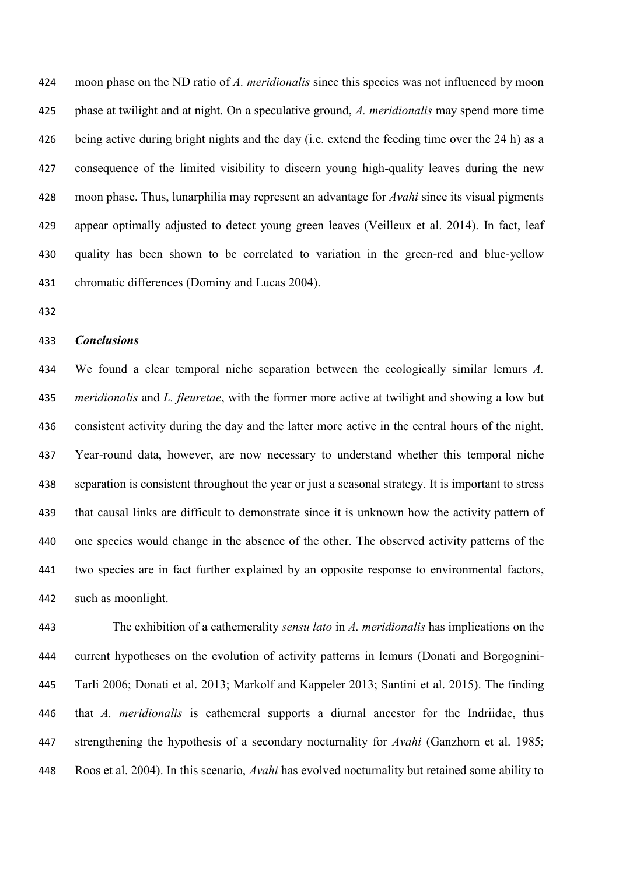moon phase on the ND ratio of *A. meridionalis* since this species was not influenced by moon phase at twilight and at night. On a speculative ground, *A. meridionalis* may spend more time 426 being active during bright nights and the day (i.e. extend the feeding time over the 24 h) as a consequence of the limited visibility to discern young high-quality leaves during the new moon phase. Thus, lunarphilia may represent an advantage for *Avahi* since its visual pigments appear optimally adjusted to detect young green leaves (Veilleux et al. 2014). In fact, leaf quality has been shown to be correlated to variation in the green-red and blue-yellow chromatic differences (Dominy and Lucas 2004).

### *Conclusions*

 We found a clear temporal niche separation between the ecologically similar lemurs *A. meridionalis* and *L. fleuretae*, with the former more active at twilight and showing a low but consistent activity during the day and the latter more active in the central hours of the night. Year-round data, however, are now necessary to understand whether this temporal niche separation is consistent throughout the year or just a seasonal strategy. It is important to stress that causal links are difficult to demonstrate since it is unknown how the activity pattern of one species would change in the absence of the other. The observed activity patterns of the two species are in fact further explained by an opposite response to environmental factors, such as moonlight.

 The exhibition of a cathemerality *sensu lato* in *A. meridionalis* has implications on the current hypotheses on the evolution of activity patterns in lemurs (Donati and Borgognini- Tarli 2006; Donati et al. 2013; Markolf and Kappeler 2013; Santini et al. 2015). The finding that *A. meridionalis* is cathemeral supports a diurnal ancestor for the Indriidae, thus strengthening the hypothesis of a secondary nocturnality for *Avahi* (Ganzhorn et al. 1985; Roos et al. 2004). In this scenario, *Avahi* has evolved nocturnality but retained some ability to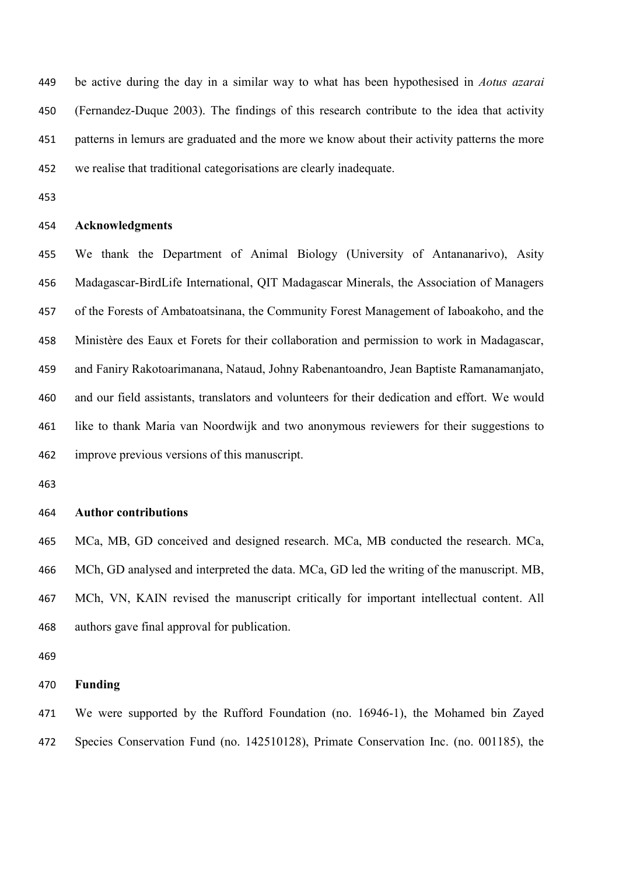be active during the day in a similar way to what has been hypothesised in *Aotus azarai* (Fernandez-Duque 2003). The findings of this research contribute to the idea that activity patterns in lemurs are graduated and the more we know about their activity patterns the more we realise that traditional categorisations are clearly inadequate.

### **Acknowledgments**

 We thank the Department of Animal Biology (University of Antananarivo), Asity Madagascar-BirdLife International, QIT Madagascar Minerals, the Association of Managers of the Forests of Ambatoatsinana, the Community Forest Management of Iaboakoho, and the Ministère des Eaux et Forets for their collaboration and permission to work in Madagascar, and Faniry Rakotoarimanana, Nataud, Johny Rabenantoandro, Jean Baptiste Ramanamanjato, and our field assistants, translators and volunteers for their dedication and effort. We would like to thank Maria van Noordwijk and two anonymous reviewers for their suggestions to improve previous versions of this manuscript.

#### **Author contributions**

 MCa, MB, GD conceived and designed research. MCa, MB conducted the research. MCa, MCh, GD analysed and interpreted the data. MCa, GD led the writing of the manuscript. MB, MCh, VN, KAIN revised the manuscript critically for important intellectual content. All authors gave final approval for publication.

#### **Funding**

 We were supported by the Rufford Foundation (no. 16946-1), the Mohamed bin Zayed Species Conservation Fund (no. 142510128), Primate Conservation Inc. (no. 001185), the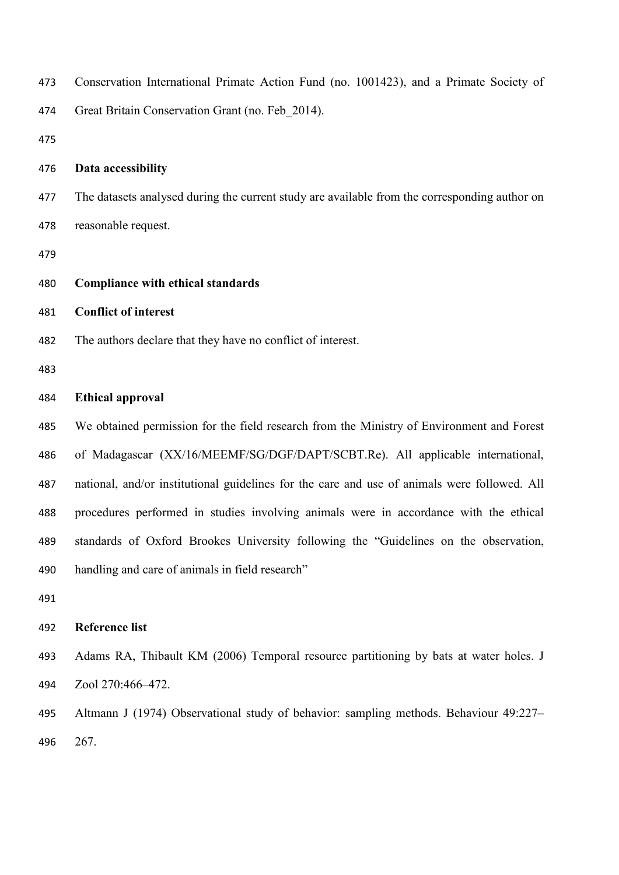| 473 | Conservation International Primate Action Fund (no. 1001423), and a Primate Society of        |
|-----|-----------------------------------------------------------------------------------------------|
| 474 | Great Britain Conservation Grant (no. Feb 2014).                                              |
| 475 |                                                                                               |
| 476 | Data accessibility                                                                            |
| 477 | The datasets analysed during the current study are available from the corresponding author on |
| 478 | reasonable request.                                                                           |
| 479 |                                                                                               |
| 480 | <b>Compliance with ethical standards</b>                                                      |
| 481 | <b>Conflict of interest</b>                                                                   |
| 482 | The authors declare that they have no conflict of interest.                                   |
| 483 |                                                                                               |
| 484 | <b>Ethical approval</b>                                                                       |
| 485 | We obtained permission for the field research from the Ministry of Environment and Forest     |
| 486 | of Madagascar (XX/16/MEEMF/SG/DGF/DAPT/SCBT.Re). All applicable international,                |
| 487 | national, and/or institutional guidelines for the care and use of animals were followed. All  |
| 488 | procedures performed in studies involving animals were in accordance with the ethical         |
| 489 | standards of Oxford Brookes University following the "Guidelines on the observation,          |
| 490 | handling and care of animals in field research"                                               |
| 491 |                                                                                               |
| 492 | <b>Reference list</b>                                                                         |
| 493 | Adams RA, Thibault KM (2006) Temporal resource partitioning by bats at water holes. J         |
| 494 | Zool 270:466-472.                                                                             |
| 495 | Altmann J (1974) Observational study of behavior: sampling methods. Behaviour 49:227–         |
| 496 | 267.                                                                                          |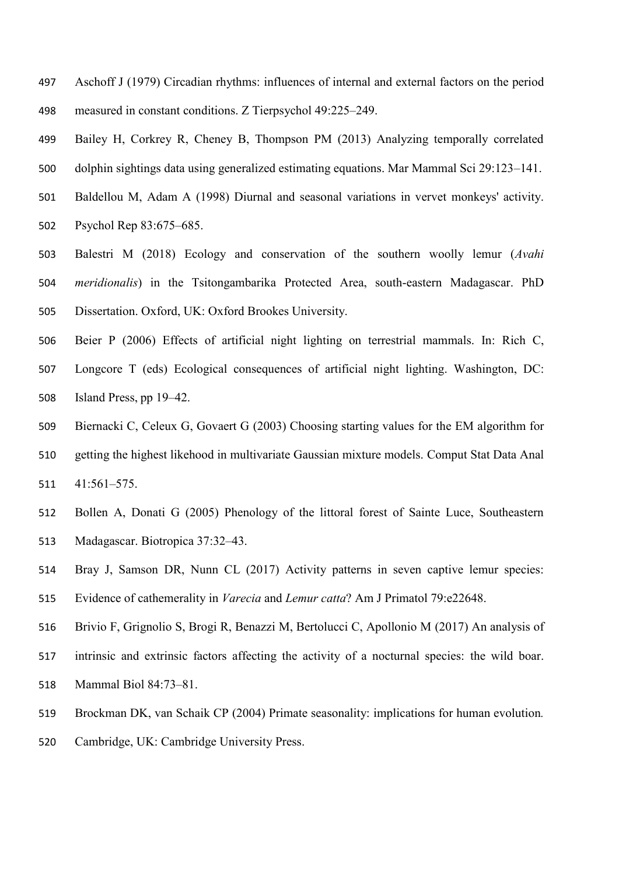- Aschoff J (1979) Circadian rhythms: influences of internal and external factors on the period measured in constant conditions. Z Tierpsychol 49:225–249.
- Bailey H, Corkrey R, Cheney B, Thompson PM (2013) Analyzing temporally correlated dolphin sightings data using generalized estimating equations. Mar Mammal Sci 29:123–141.
- Baldellou M, Adam A (1998) Diurnal and seasonal variations in vervet monkeys' activity. Psychol Rep 83:675–685.
- Balestri M (2018) Ecology and conservation of the southern woolly lemur (*Avahi meridionalis*) in the Tsitongambarika Protected Area, south-eastern Madagascar. PhD Dissertation. Oxford, UK: Oxford Brookes University.
- Beier P (2006) Effects of artificial night lighting on terrestrial mammals. In: Rich C, Longcore T (eds) Ecological consequences of artificial night lighting. Washington, DC: Island Press, pp 19–42.
- Biernacki C, Celeux G, Govaert G (2003) Choosing starting values for the EM algorithm for getting the highest likehood in multivariate Gaussian mixture models. Comput Stat Data Anal 41:561–575.
- Bollen A, Donati G (2005) Phenology of the littoral forest of Sainte Luce, Southeastern Madagascar. Biotropica 37:32–43.
- Bray J, Samson DR, Nunn CL (2017) Activity patterns in seven captive lemur species:
- Evidence of cathemerality in *Varecia* and *Lemur catta*? Am J Primatol 79:e22648.
- Brivio F, Grignolio S, Brogi R, Benazzi M, Bertolucci C, Apollonio M (2017) An analysis of
- intrinsic and extrinsic factors affecting the activity of a nocturnal species: the wild boar.
- Mammal Biol 84:73–81.
- Brockman DK, van Schaik CP (2004) Primate seasonality: implications for human evolution*.*
- Cambridge, UK: Cambridge University Press.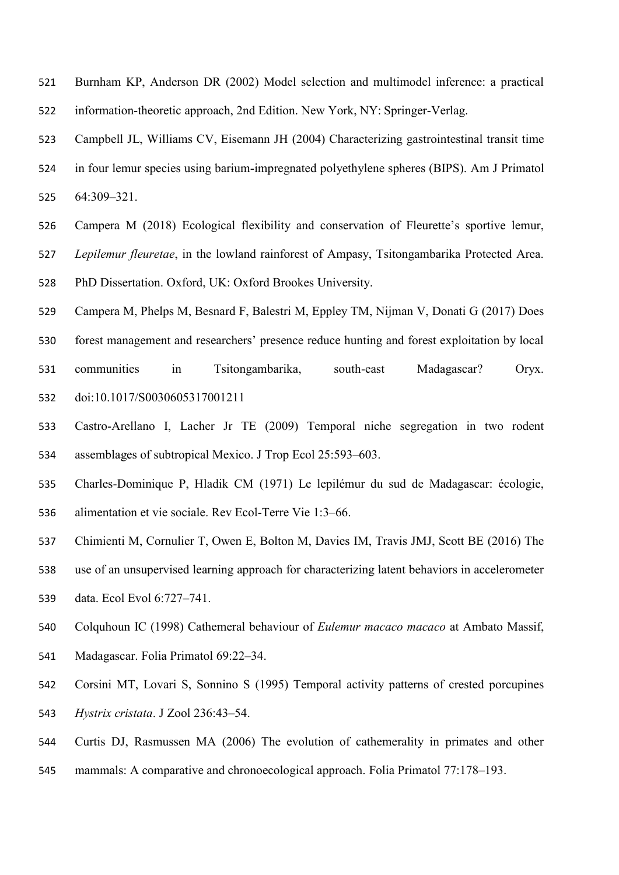- Burnham KP, Anderson DR (2002) Model selection and multimodel inference: a practical information-theoretic approach, 2nd Edition. New York, NY: Springer-Verlag.
- Campbell JL, Williams CV, Eisemann JH (2004) Characterizing gastrointestinal transit time
- in four lemur species using barium-impregnated polyethylene spheres (BIPS). Am J Primatol 64:309–321.
- Campera M (2018) Ecological flexibility and conservation of Fleurette's sportive lemur, *Lepilemur fleuretae*, in the lowland rainforest of Ampasy, Tsitongambarika Protected Area. PhD Dissertation. Oxford, UK: Oxford Brookes University.
- Campera M, Phelps M, Besnard F, Balestri M, Eppley TM, Nijman V, Donati G (2017) Does
- forest management and researchers' presence reduce hunting and forest exploitation by local
- communities in Tsitongambarika, south-east Madagascar? Oryx. doi:10.1017/S0030605317001211
- Castro-Arellano I, Lacher Jr TE (2009) Temporal niche segregation in two rodent assemblages of subtropical Mexico. J Trop Ecol 25:593–603.
- Charles-Dominique P, Hladik CM (1971) Le lepilémur du sud de Madagascar: écologie, alimentation et vie sociale. Rev Ecol-Terre Vie 1:3–66.
- Chimienti M, Cornulier T, Owen E, Bolton M, Davies IM, Travis JMJ, Scott BE (2016) The
- use of an unsupervised learning approach for characterizing latent behaviors in accelerometer
- data. Ecol Evol 6:727–741.
- Colquhoun IC (1998) Cathemeral behaviour of *Eulemur macaco macaco* at Ambato Massif,
- Madagascar. Folia Primatol 69:22–34.
- Corsini MT, Lovari S, Sonnino S (1995) Temporal activity patterns of crested porcupines *Hystrix cristata*. J Zool 236:43–54.
- Curtis DJ, Rasmussen MA (2006) The evolution of cathemerality in primates and other
- mammals: A comparative and chronoecological approach. Folia Primatol 77:178–193.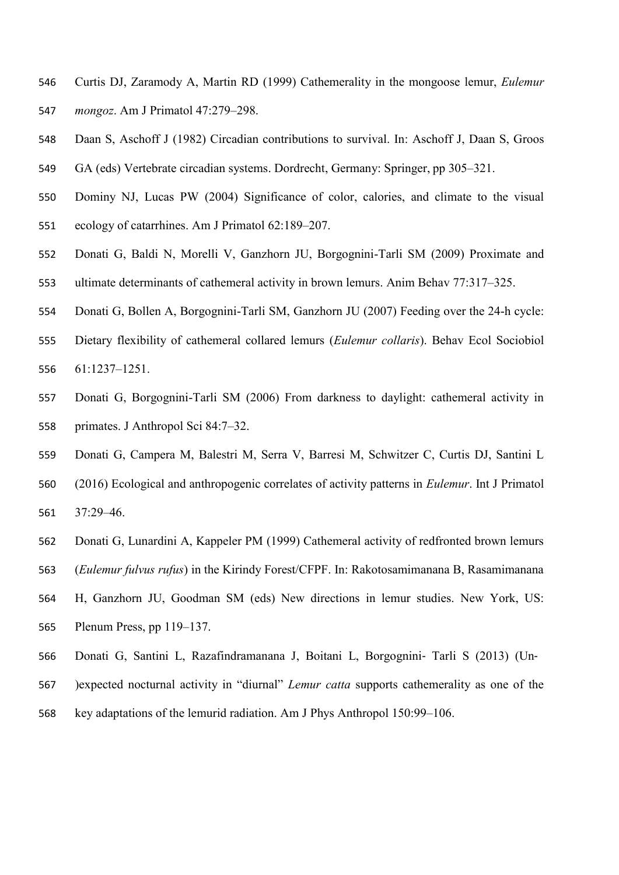- Curtis DJ, Zaramody A, Martin RD (1999) Cathemerality in the mongoose lemur, *Eulemur mongoz*. Am J Primatol 47:279–298.
- Daan S, Aschoff J (1982) Circadian contributions to survival. In: Aschoff J, Daan S, Groos GA (eds) Vertebrate circadian systems. Dordrecht, Germany: Springer, pp 305–321.
- Dominy NJ, Lucas PW (2004) Significance of color, calories, and climate to the visual ecology of catarrhines. Am J Primatol 62:189–207.
- Donati G, Baldi N, Morelli V, Ganzhorn JU, Borgognini-Tarli SM (2009) Proximate and ultimate determinants of cathemeral activity in brown lemurs. Anim Behav 77:317–325.
- Donati G, Bollen A, Borgognini-Tarli SM, Ganzhorn JU (2007) Feeding over the 24-h cycle:
- Dietary flexibility of cathemeral collared lemurs (*Eulemur collaris*). Behav Ecol Sociobiol 61:1237–1251.
- Donati G, Borgognini-Tarli SM (2006) From darkness to daylight: cathemeral activity in primates. J Anthropol Sci 84:7–32.
- Donati G, Campera M, Balestri M, Serra V, Barresi M, Schwitzer C, Curtis DJ, Santini L
- (2016) Ecological and anthropogenic correlates of activity patterns in *Eulemur*. Int J Primatol
- 37:29–46.
- Donati G, Lunardini A, Kappeler PM (1999) Cathemeral activity of redfronted brown lemurs
- (*Eulemur fulvus rufus*) in the Kirindy Forest/CFPF. In: Rakotosamimanana B, Rasamimanana
- H, Ganzhorn JU, Goodman SM (eds) New directions in lemur studies. New York, US: Plenum Press, pp 119–137.
- Donati G, Santini L, Razafindramanana J, Boitani L, Borgognini‐ Tarli S (2013) (Un‐
- )expected nocturnal activity in "diurnal" *Lemur catta* supports cathemerality as one of the
- key adaptations of the lemurid radiation. Am J Phys Anthropol 150:99–106.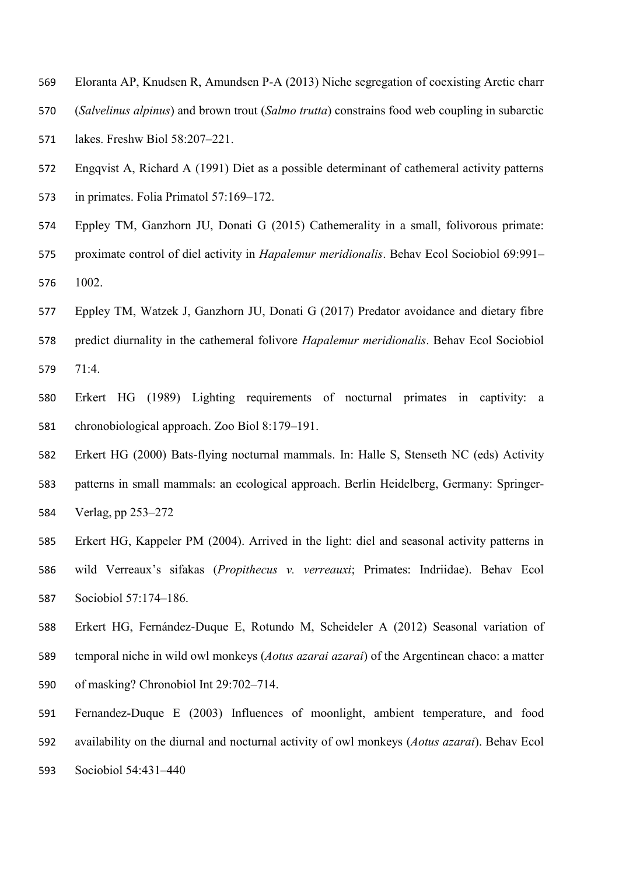- Eloranta AP, Knudsen R, Amundsen P-A (2013) Niche segregation of coexisting Arctic charr
- (*Salvelinus alpinus*) and brown trout (*Salmo trutta*) constrains food web coupling in subarctic
- lakes. Freshw Biol 58:207–221.
- Engqvist A, Richard A (1991) Diet as a possible determinant of cathemeral activity patterns in primates. Folia Primatol 57:169–172.
- Eppley TM, Ganzhorn JU, Donati G (2015) Cathemerality in a small, folivorous primate: proximate control of diel activity in *Hapalemur meridionalis*. Behav Ecol Sociobiol 69:991– 1002.
- Eppley TM, Watzek J, Ganzhorn JU, Donati G (2017) Predator avoidance and dietary fibre
- predict diurnality in the cathemeral folivore *Hapalemur meridionalis*. Behav Ecol Sociobiol 71:4.
- Erkert HG (1989) Lighting requirements of nocturnal primates in captivity: a chronobiological approach. Zoo Biol 8:179–191.
- Erkert HG (2000) Bats-flying nocturnal mammals. In: Halle S, Stenseth NC (eds) Activity patterns in small mammals: an ecological approach. Berlin Heidelberg, Germany: Springer-Verlag, pp 253–272
- Erkert HG, Kappeler PM (2004). Arrived in the light: diel and seasonal activity patterns in wild Verreaux's sifakas (*Propithecus v. verreauxi*; Primates: Indriidae). Behav Ecol Sociobiol 57:174–186.
- Erkert HG, Fernández-Duque E, Rotundo M, Scheideler A (2012) Seasonal variation of temporal niche in wild owl monkeys (*Aotus azarai azarai*) of the Argentinean chaco: a matter of masking? Chronobiol Int 29:702–714.
- Fernandez-Duque E (2003) Influences of moonlight, ambient temperature, and food availability on the diurnal and nocturnal activity of owl monkeys (*Aotus azarai*). Behav Ecol Sociobiol 54:431–440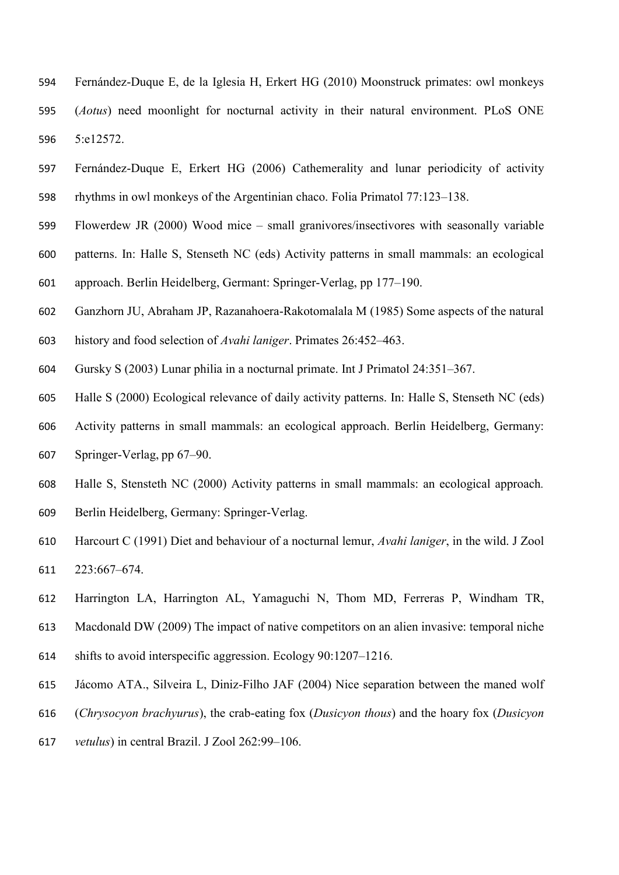- Fernández-Duque E, de la Iglesia H, Erkert HG (2010) Moonstruck primates: owl monkeys (*Aotus*) need moonlight for nocturnal activity in their natural environment. PLoS ONE 5:e12572.
- Fernández-Duque E, Erkert HG (2006) Cathemerality and lunar periodicity of activity rhythms in owl monkeys of the Argentinian chaco. Folia Primatol 77:123–138.
- Flowerdew JR (2000) Wood mice small granivores/insectivores with seasonally variable
- patterns. In: Halle S, Stenseth NC (eds) Activity patterns in small mammals: an ecological
- approach. Berlin Heidelberg, Germant: Springer-Verlag, pp 177–190.
- Ganzhorn JU, Abraham JP, Razanahoera-Rakotomalala M (1985) Some aspects of the natural history and food selection of *Avahi laniger*. Primates 26:452–463.
- Gursky S (2003) Lunar philia in a nocturnal primate. Int J Primatol 24:351–367.
- Halle S (2000) Ecological relevance of daily activity patterns. In: Halle S, Stenseth NC (eds)
- Activity patterns in small mammals: an ecological approach. Berlin Heidelberg, Germany: Springer-Verlag, pp 67–90.
- Halle S, Stensteth NC (2000) Activity patterns in small mammals: an ecological approach*.* Berlin Heidelberg, Germany: Springer-Verlag.
- Harcourt C (1991) Diet and behaviour of a nocturnal lemur, *Avahi laniger*, in the wild. J Zool 223:667–674.
- Harrington LA, Harrington AL, Yamaguchi N, Thom MD, Ferreras P, Windham TR,
- Macdonald DW (2009) The impact of native competitors on an alien invasive: temporal niche
- shifts to avoid interspecific aggression. Ecology 90:1207–1216.
- Jácomo ATA., Silveira L, Diniz-Filho JAF (2004) Nice separation between the maned wolf
- (*Chrysocyon brachyurus*), the crab-eating fox (*Dusicyon thous*) and the hoary fox (*Dusicyon*
- *vetulus*) in central Brazil. J Zool 262:99–106.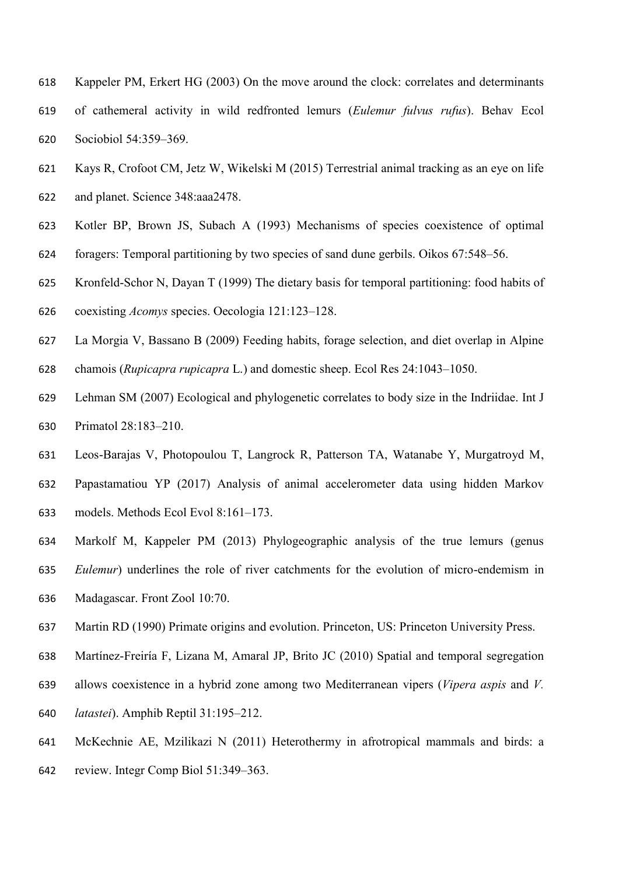- Kappeler PM, Erkert HG (2003) On the move around the clock: correlates and determinants of cathemeral activity in wild redfronted lemurs (*Eulemur fulvus rufus*). Behav Ecol Sociobiol 54:359–369.
- Kays R, Crofoot CM, Jetz W, Wikelski M (2015) Terrestrial animal tracking as an eye on life and planet. Science 348:aaa2478.
- Kotler BP, Brown JS, Subach A (1993) Mechanisms of species coexistence of optimal
- foragers: Temporal partitioning by two species of sand dune gerbils. Oikos 67:548–56.
- Kronfeld-Schor N, Dayan T (1999) The dietary basis for temporal partitioning: food habits of
- coexisting *Acomys* species. Oecologia 121:123–128.
- La Morgia V, Bassano B (2009) Feeding habits, forage selection, and diet overlap in Alpine
- chamois (*Rupicapra rupicapra* L.) and domestic sheep. Ecol Res 24:1043–1050.
- Lehman SM (2007) Ecological and phylogenetic correlates to body size in the Indriidae. Int J Primatol 28:183–210.
- Leos-Barajas V, Photopoulou T, Langrock R, Patterson TA, Watanabe Y, Murgatroyd M,
- Papastamatiou YP (2017) Analysis of animal accelerometer data using hidden Markov models. Methods Ecol Evol 8:161–173.
- Markolf M, Kappeler PM (2013) Phylogeographic analysis of the true lemurs (genus
- *Eulemur*) underlines the role of river catchments for the evolution of micro-endemism in
- Madagascar. Front Zool 10:70.
- Martin RD (1990) Primate origins and evolution. Princeton, US: Princeton University Press.
- Martínez-Freiría F, Lizana M, Amaral JP, Brito JC (2010) Spatial and temporal segregation
- allows coexistence in a hybrid zone among two Mediterranean vipers (*Vipera aspis* and *V.*
- *latastei*). Amphib Reptil 31:195–212.
- McKechnie AE, Mzilikazi N (2011) Heterothermy in afrotropical mammals and birds: a
- review. Integr Comp Biol 51:349–363.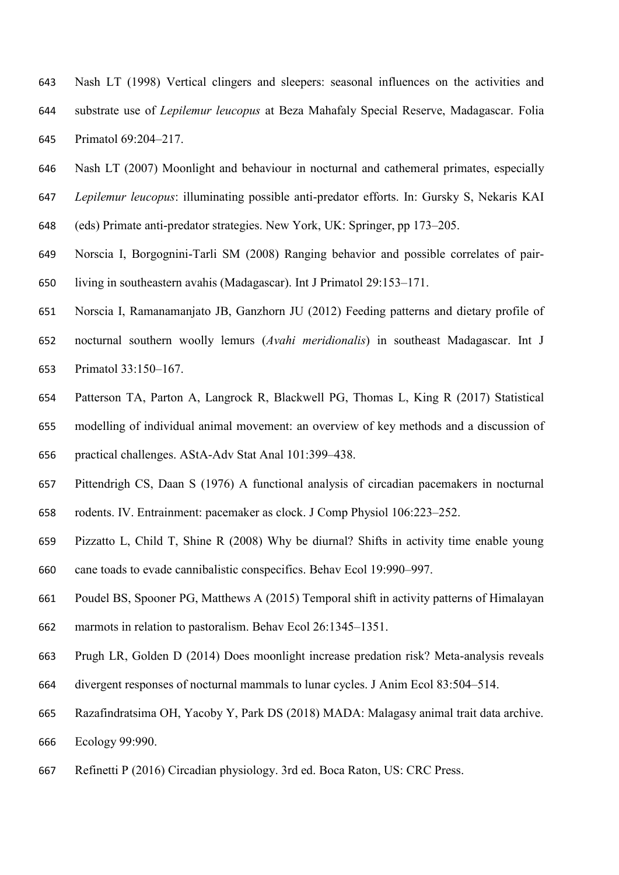- Nash LT (1998) Vertical clingers and sleepers: seasonal influences on the activities and substrate use of *Lepilemur leucopus* at Beza Mahafaly Special Reserve, Madagascar. Folia Primatol 69:204–217.
- Nash LT (2007) Moonlight and behaviour in nocturnal and cathemeral primates, especially *Lepilemur leucopus*: illuminating possible anti-predator efforts. In: Gursky S, Nekaris KAI
- (eds) Primate anti-predator strategies. New York, UK: Springer, pp 173–205.
- Norscia I, Borgognini-Tarli SM (2008) Ranging behavior and possible correlates of pair-living in southeastern avahis (Madagascar). Int J Primatol 29:153–171.
- Norscia I, Ramanamanjato JB, Ganzhorn JU (2012) Feeding patterns and dietary profile of nocturnal southern woolly lemurs (*Avahi meridionalis*) in southeast Madagascar. Int J Primatol 33:150–167.
- Patterson TA, Parton A, Langrock R, Blackwell PG, Thomas L, King R (2017) Statistical
- modelling of individual animal movement: an overview of key methods and a discussion of
- practical challenges. AStA-Adv Stat Anal 101:399–438.
- Pittendrigh CS, Daan S (1976) A functional analysis of circadian pacemakers in nocturnal rodents. IV. Entrainment: pacemaker as clock. J Comp Physiol 106:223–252.
- Pizzatto L, Child T, Shine R (2008) Why be diurnal? Shifts in activity time enable young cane toads to evade cannibalistic conspecifics. Behav Ecol 19:990–997.
- Poudel BS, Spooner PG, Matthews A (2015) Temporal shift in activity patterns of Himalayan
- marmots in relation to pastoralism. Behav Ecol 26:1345–1351.
- Prugh LR, Golden D (2014) Does moonlight increase predation risk? Meta-analysis reveals
- divergent responses of nocturnal mammals to lunar cycles. J Anim Ecol 83:504–514.
- Razafindratsima OH, Yacoby Y, Park DS (2018) MADA: Malagasy animal trait data archive.
- Ecology 99:990.
- Refinetti P (2016) Circadian physiology. 3rd ed. Boca Raton, US: CRC Press.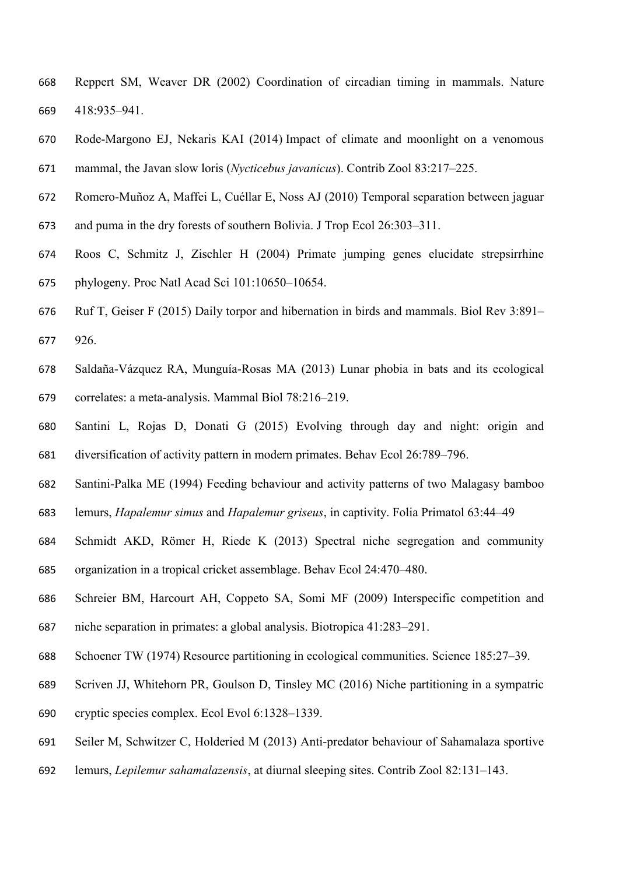- Reppert SM, Weaver DR (2002) Coordination of circadian timing in mammals. Nature 418:935–941.
- Rode-Margono EJ, Nekaris KAI (2014) Impact of climate and moonlight on a venomous mammal, the Javan slow loris (*Nycticebus javanicus*). Contrib Zool 83:217–225.
- Romero-Muñoz A, Maffei L, Cuéllar E, Noss AJ (2010) Temporal separation between jaguar
- and puma in the dry forests of southern Bolivia. J Trop Ecol 26:303–311.
- Roos C, Schmitz J, Zischler H (2004) Primate jumping genes elucidate strepsirrhine phylogeny. Proc Natl Acad Sci 101:10650–10654.
- Ruf T, Geiser F (2015) Daily torpor and hibernation in birds and mammals. Biol Rev 3:891– 926.
- Saldaña-Vázquez RA, Munguía-Rosas MA (2013) Lunar phobia in bats and its ecological correlates: a meta-analysis. Mammal Biol 78:216–219.
- Santini L, Rojas D, Donati G (2015) Evolving through day and night: origin and diversification of activity pattern in modern primates. Behav Ecol 26:789–796.
- Santini-Palka ME (1994) Feeding behaviour and activity patterns of two Malagasy bamboo
- lemurs, *Hapalemur simus* and *Hapalemur griseus*, in captivity. Folia Primatol 63:44–49
- Schmidt AKD, Römer H, Riede K (2013) Spectral niche segregation and community organization in a tropical cricket assemblage. Behav Ecol 24:470–480.
- Schreier BM, Harcourt AH, Coppeto SA, Somi MF (2009) Interspecific competition and niche separation in primates: a global analysis. Biotropica 41:283–291.
- Schoener TW (1974) Resource partitioning in ecological communities. Science 185:27–39.
- Scriven JJ, Whitehorn PR, Goulson D, Tinsley MC (2016) Niche partitioning in a sympatric
- cryptic species complex. Ecol Evol 6:1328–1339.
- Seiler M, Schwitzer C, Holderied M (2013) Anti-predator behaviour of Sahamalaza sportive
- lemurs, *Lepilemur sahamalazensis*, at diurnal sleeping sites. Contrib Zool 82:131–143.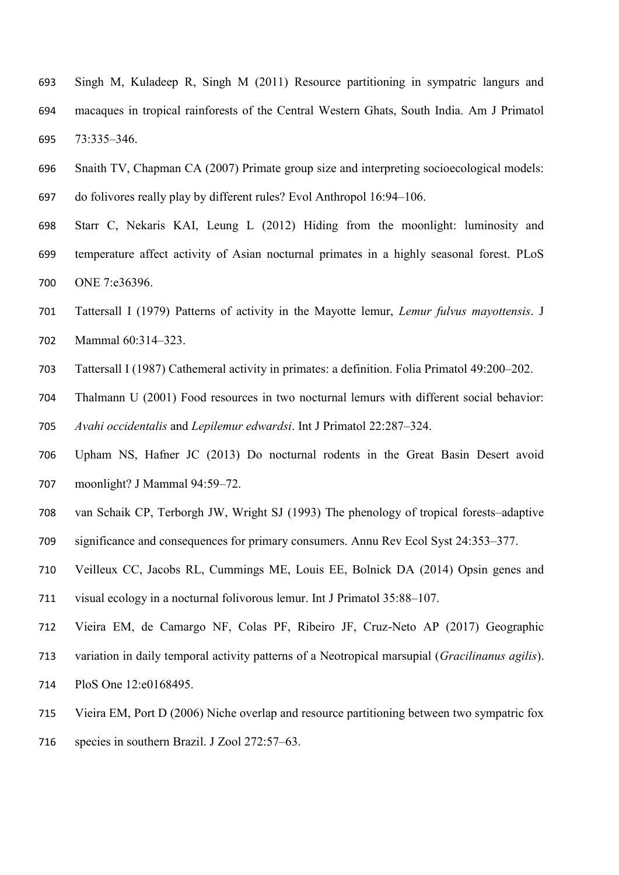- Singh M, Kuladeep R, Singh M (2011) Resource partitioning in sympatric langurs and macaques in tropical rainforests of the Central Western Ghats, South India. Am J Primatol 73:335–346.
- Snaith TV, Chapman CA (2007) Primate group size and interpreting socioecological models: do folivores really play by different rules? Evol Anthropol 16:94–106.
- Starr C, Nekaris KAI, Leung L (2012) Hiding from the moonlight: luminosity and temperature affect activity of Asian nocturnal primates in a highly seasonal forest. PLoS ONE 7:e36396.
- Tattersall I (1979) Patterns of activity in the Mayotte lemur, *Lemur fulvus mayottensis*. J Mammal 60:314–323.
- Tattersall I (1987) Cathemeral activity in primates: a definition. Folia Primatol 49:200–202.

 Thalmann U (2001) Food resources in two nocturnal lemurs with different social behavior: *Avahi occidentalis* and *Lepilemur edwardsi*. Int J Primatol 22:287–324.

- Upham NS, Hafner JC (2013) Do nocturnal rodents in the Great Basin Desert avoid moonlight? J Mammal 94:59–72.
- van Schaik CP, Terborgh JW, Wright SJ (1993) The phenology of tropical forests–adaptive
- significance and consequences for primary consumers. Annu Rev Ecol Syst 24:353–377.
- Veilleux CC, Jacobs RL, Cummings ME, Louis EE, Bolnick DA (2014) Opsin genes and
- visual ecology in a nocturnal folivorous lemur. Int J Primatol 35:88–107.
- Vieira EM, de Camargo NF, Colas PF, Ribeiro JF, Cruz-Neto AP (2017) Geographic
- variation in daily temporal activity patterns of a Neotropical marsupial (*Gracilinanus agilis*).
- PloS One 12:e0168495.
- Vieira EM, Port D (2006) Niche overlap and resource partitioning between two sympatric fox
- species in southern Brazil. J Zool 272:57–63.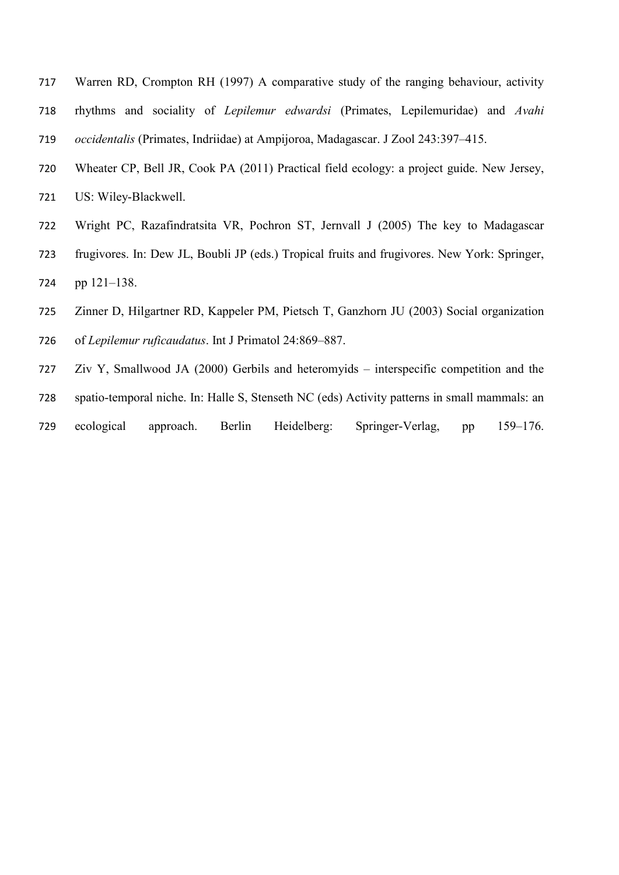- Warren RD, Crompton RH (1997) A comparative study of the ranging behaviour, activity rhythms and sociality of *Lepilemur edwardsi* (Primates, Lepilemuridae) and *Avahi occidentalis* (Primates, Indriidae) at Ampijoroa, Madagascar. J Zool 243:397–415.
- Wheater CP, Bell JR, Cook PA (2011) Practical field ecology: a project guide. New Jersey, US: Wiley-Blackwell.
- Wright PC, Razafindratsita VR, Pochron ST, Jernvall J (2005) The key to Madagascar frugivores. In: Dew JL, Boubli JP (eds.) Tropical fruits and frugivores. New York: Springer, pp 121–138.
- Zinner D, Hilgartner RD, Kappeler PM, Pietsch T, Ganzhorn JU (2003) Social organization of *Lepilemur ruficaudatus*. Int J Primatol 24:869–887.
- Ziv Y, Smallwood JA (2000) Gerbils and heteromyids interspecific competition and the spatio-temporal niche. In: Halle S, Stenseth NC (eds) Activity patterns in small mammals: an
- ecological approach. Berlin Heidelberg: Springer-Verlag, pp 159–176.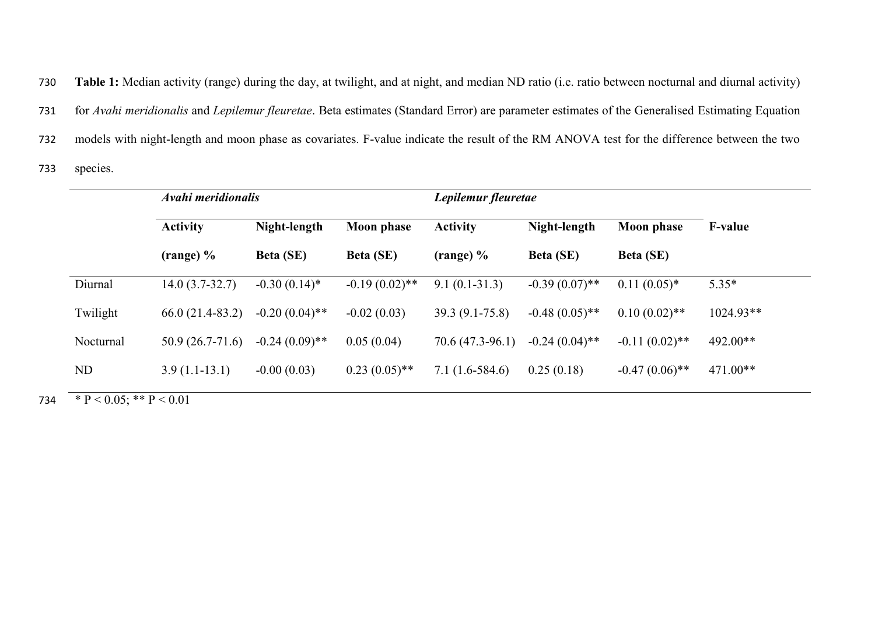730 **Table 1:** Median activity (range) during the day, at twilight, and at night, and median ND ratio (i.e. ratio between nocturnal and diurnal activity) 731 for *Avahi meridionalis* and *Lepilemur fleuretae*. Beta estimates (Standard Error) are parameter estimates of the Generalised Estimating Equation 732 models with night-length and moon phase as covariates. F-value indicate the result of the RM ANOVA test for the difference between the two

733 species.

|           | Avahi meridionalis                    |                                  |                                       | Lepilemur fleuretae                     |                                  |                                       |                |
|-----------|---------------------------------------|----------------------------------|---------------------------------------|-----------------------------------------|----------------------------------|---------------------------------------|----------------|
|           | <b>Activity</b><br>$(\text{range})$ % | Night-length<br><b>Beta (SE)</b> | <b>Moon</b> phase<br><b>Beta (SE)</b> | <b>Activity</b><br>$(\text{range})\,\%$ | Night-length<br><b>Beta</b> (SE) | <b>Moon phase</b><br><b>Beta</b> (SE) | <b>F-value</b> |
|           |                                       |                                  |                                       |                                         |                                  |                                       |                |
| Diurnal   | $14.0(3.7-32.7)$                      | $-0.30(0.14)$ *                  | $-0.19(0.02)$ **                      | $9.1(0.1-31.3)$                         | $-0.39(0.07)$ **                 | $0.11(0.05)^*$                        | $5.35*$        |
| Twilight  | $66.0(21.4-83.2)$                     | $-0.20(0.04)$ **                 | $-0.02(0.03)$                         | $39.3(9.1-75.8)$                        | $-0.48(0.05)$ **                 | $0.10(0.02)$ **                       | $1024.93**$    |
| Nocturnal | $50.9(26.7-71.6)$                     | $-0.24(0.09)$ **                 | 0.05(0.04)                            | 70.6 (47.3-96.1)                        | $-0.24(0.04)$ **                 | $-0.11(0.02)$ **                      | 492.00**       |
| ND        | $3.9(1.1-13.1)$                       | $-0.00(0.03)$                    | $0.23(0.05)$ **                       | $7.1(1.6-584.6)$                        | 0.25(0.18)                       | $-0.47(0.06)$ **                      | $471.00**$     |